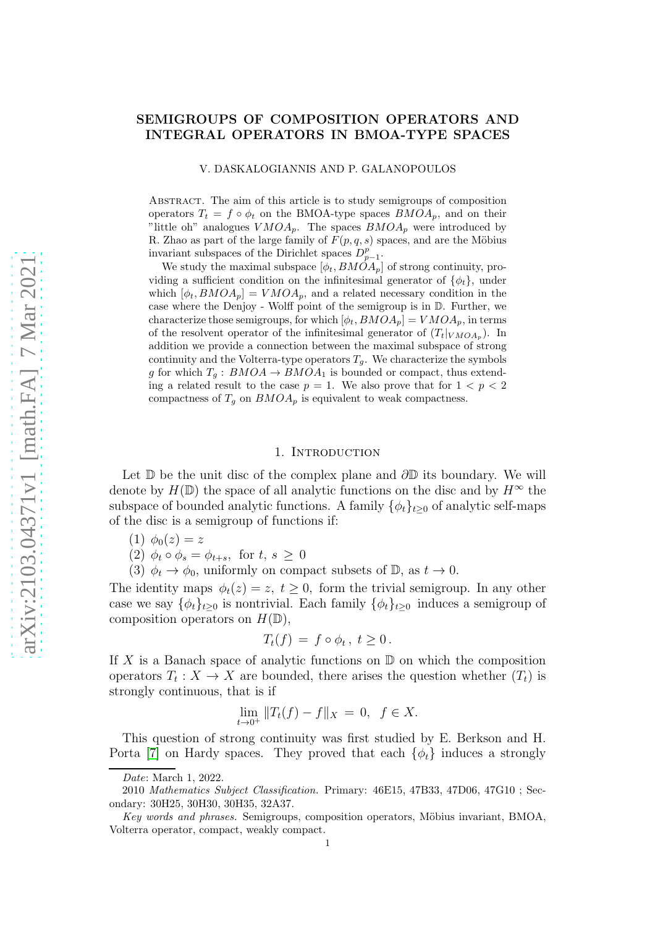# SEMIGROUPS OF COMPOSITION OPERATORS AND INTEGRAL OPERATORS IN BMOA-TYPE SPACES

#### V. DASKALOGIANNIS AND P. GALANOPOULOS

Abstract. The aim of this article is to study semigroups of composition operators  $T_t = f \circ \phi_t$  on the BMOA-type spaces  $BMOA_p$ , and on their "little oh" analogues  $VMOA_p$ . The spaces  $BMOA_p$  were introduced by R. Zhao as part of the large family of  $F(p, q, s)$  spaces, and are the Möbius invariant subspaces of the Dirichlet spaces  $D_{p-1}^p$ .

We study the maximal subspace  $[\phi_t, B M \dot{O} A_p]$  of strong continuity, providing a sufficient condition on the infinitesimal generator of  $\{\phi_t\}$ , under which  $[\phi_t, BMOA_p] = VMOA_p$ , and a related necessary condition in the case where the Denjoy - Wolff point of the semigroup is in D. Further, we characterize those semigroups, for which  $[\phi_t, BMOA_p] = VMOA_p$ , in terms of the resolvent operator of the infinitesimal generator of  $(T_t|_{VMOA_p})$ . In addition we provide a connection between the maximal subspace of strong continuity and the Volterra-type operators  $T<sub>g</sub>$ . We characterize the symbols g for which  $T_q$ :  $BMOA \rightarrow BMOA_1$  is bounded or compact, thus extending a related result to the case  $p = 1$ . We also prove that for  $1 < p < 2$ compactness of  $T_g$  on  $BMOA_p$  is equivalent to weak compactness.

## 1. INTRODUCTION

Let  $\mathbb D$  be the unit disc of the complex plane and  $\partial \mathbb D$  its boundary. We will denote by  $H(\mathbb{D})$  the space of all analytic functions on the disc and by  $H^{\infty}$  the subspace of bounded analytic functions. A family  $\{\phi_t\}_{t\geq0}$  of analytic self-maps of the disc is a semigroup of functions if:

- (1)  $\phi_0(z) = z$
- (2)  $\phi_t \circ \phi_s = \phi_{t+s}$ , for  $t, s \geq 0$
- (3)  $\phi_t \to \phi_0$ , uniformly on compact subsets of  $\mathbb{D}$ , as  $t \to 0$ .

The identity maps  $\phi_t(z) = z, t \geq 0$ , form the trivial semigroup. In any other case we say  $\{\phi_t\}_{t>0}$  is nontrivial. Each family  $\{\phi_t\}_{t>0}$  induces a semigroup of composition operators on  $H(\mathbb{D}),$ 

$$
T_t(f) = f \circ \phi_t, t \ge 0.
$$

If X is a Banach space of analytic functions on  $\mathbb D$  on which the composition operators  $T_t: X \to X$  are bounded, there arises the question whether  $(T_t)$  is strongly continuous, that is if

$$
\lim_{t \to 0^+} ||T_t(f) - f||_X = 0, \ \ f \in X.
$$

This question of strong continuity was first studied by E. Berkson and H. Porta [\[7\]](#page-23-0) on Hardy spaces. They proved that each  $\{\phi_t\}$  induces a strongly

Date: March 1, 2022.

<sup>2010</sup> Mathematics Subject Classification. Primary: 46E15, 47B33, 47D06, 47G10 ; Secondary: 30H25, 30H30, 30H35, 32A37.

Key words and phrases. Semigroups, composition operators, Möbius invariant, BMOA, Volterra operator, compact, weakly compact.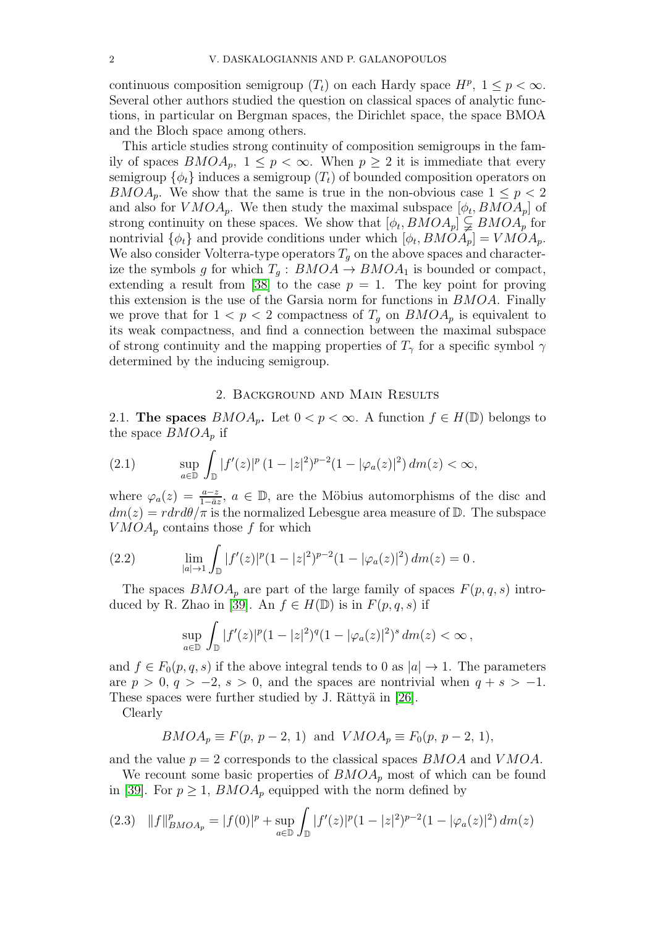continuous composition semigroup  $(T_t)$  on each Hardy space  $H^p$ ,  $1 \leq p < \infty$ . Several other authors studied the question on classical spaces of analytic functions, in particular on Bergman spaces, the Dirichlet space, the space BMOA and the Bloch space among others.

This article studies strong continuity of composition semigroups in the family of spaces  $BMOA_p$ ,  $1 \leq p < \infty$ . When  $p \geq 2$  it is immediate that every semigroup  $\{\phi_t\}$  induces a semigroup  $(T_t)$  of bounded composition operators on  $BMOA_p$ . We show that the same is true in the non-obvious case  $1 \leq p < 2$ and also for  $VMOA_p$ . We then study the maximal subspace  $[\phi_t, BMOA_p]$  of strong continuity on these spaces. We show that  $[\phi_t, BMOA_p] \subsetneq BMOA_p$  for nontrivial  $\{\phi_t\}$  and provide conditions under which  $[\phi_t, BMOA_p] = VMOA_p$ . We also consider Volterra-type operators  $T<sub>q</sub>$  on the above spaces and characterize the symbols g for which  $T_g : BMOA \to BMOA_1$  is bounded or compact, extending a result from [\[38\]](#page-24-0) to the case  $p = 1$ . The key point for proving this extension is the use of the Garsia norm for functions in BMOA. Finally we prove that for  $1 < p < 2$  compactness of  $T_q$  on  $BMOA_p$  is equivalent to its weak compactness, and find a connection between the maximal subspace of strong continuity and the mapping properties of  $T_{\gamma}$  for a specific symbol  $\gamma$ determined by the inducing semigroup.

#### 2. Background and Main Results

2.1. The spaces  $BMOA_p$ . Let  $0 < p < \infty$ . A function  $f \in H(\mathbb{D})$  belongs to the space  $BMOA_p$  if

(2.1) 
$$
\sup_{a \in \mathbb{D}} \int_{\mathbb{D}} |f'(z)|^p (1 - |z|^2)^{p-2} (1 - |\varphi_a(z)|^2) dm(z) < \infty,
$$

where  $\varphi_a(z) = \frac{a-z}{1-\bar{a}z}$ ,  $a \in \mathbb{D}$ , are the Möbius automorphisms of the disc and  $dm(z) = rdr d\theta/\pi$  is the normalized Lebesgue area measure of D. The subspace  $VMOA_p$  contains those f for which

(2.2) 
$$
\lim_{|a| \to 1} \int_{\mathbb{D}} |f'(z)|^p (1 - |z|^2)^{p-2} (1 - |\varphi_a(z)|^2) dm(z) = 0.
$$

The spaces  $BMOA_p$  are part of the large family of spaces  $F(p, q, s)$  intro-duced by R. Zhao in [\[39\]](#page-24-1). An  $f \in H(\mathbb{D})$  is in  $F(p,q,s)$  if

$$
\sup_{a \in \mathbb{D}} \int_{\mathbb{D}} |f'(z)|^p (1-|z|^2)^q (1-|\varphi_a(z)|^2)^s dm(z) < \infty,
$$

and  $f \in F_0(p,q,s)$  if the above integral tends to 0 as  $|a| \to 1$ . The parameters are  $p > 0$ ,  $q > -2$ ,  $s > 0$ , and the spaces are nontrivial when  $q + s > -1$ . These spaces were further studied by J. Rättyä in [\[26\]](#page-24-2).

Clearly

$$
BMOA_p \equiv F(p, p-2, 1)
$$
 and  $VMOA_p \equiv F_0(p, p-2, 1)$ ,

and the value  $p = 2$  corresponds to the classical spaces  $BMOA$  and  $VMOA$ .

We recount some basic properties of  $BMOA_p$  most of which can be found in [\[39\]](#page-24-1). For  $p \geq 1$ ,  $BMOA_p$  equipped with the norm defined by

$$
(2.3) \quad ||f||_{BMOA_p}^p = |f(0)|^p + \sup_{a \in \mathbb{D}} \int_{\mathbb{D}} |f'(z)|^p (1 - |z|^2)^{p-2} (1 - |\varphi_a(z)|^2) \, dm(z)
$$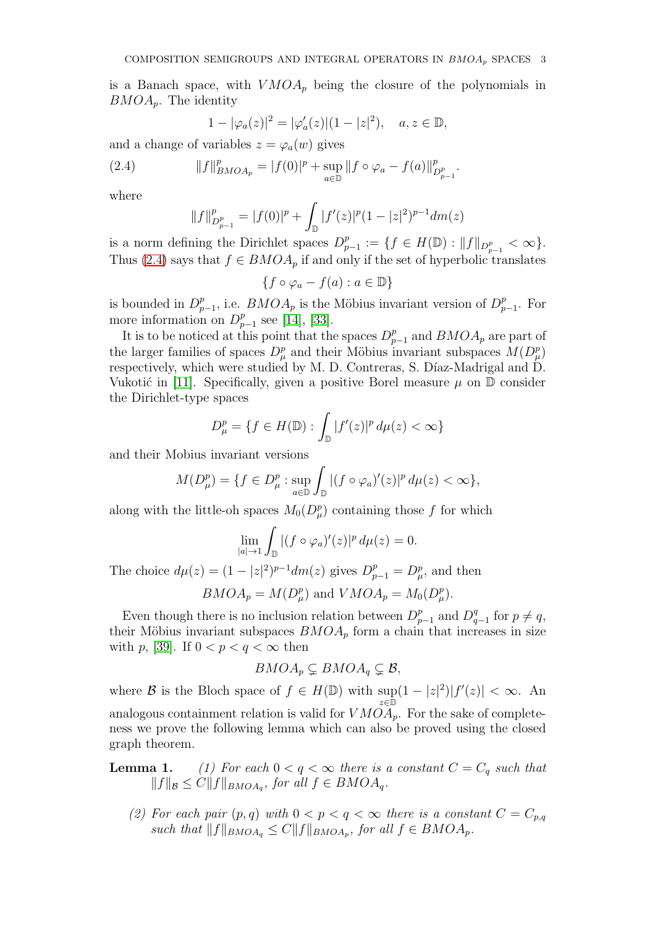is a Banach space, with  $VMOA_p$  being the closure of the polynomials in  $BMOA_p$ . The identity

<span id="page-2-0"></span>
$$
1 - |\varphi_a(z)|^2 = |\varphi'_a(z)| (1 - |z|^2), \quad a, z \in \mathbb{D},
$$

and a change of variables  $z = \varphi_a(w)$  gives

(2.4) 
$$
||f||_{BMOA_p}^p = |f(0)|^p + \sup_{a \in \mathbb{D}} ||f \circ \varphi_a - f(a)||_{D_{p-1}^p}^p.
$$

where

$$
||f||_{D_{p-1}^p}^p = |f(0)|^p + \int_{\mathbb{D}} |f'(z)|^p (1-|z|^2)^{p-1} dm(z)
$$

is a norm defining the Dirichlet spaces  $D_n^p$  $P_{p-1}^p := \{f \in H(\mathbb{D}) : ||f||_{D_{p-1}^p} < \infty\}.$ Thus [\(2.4\)](#page-2-0) says that  $f \in BMOA_p$  if and only if the set of hyperbolic translates

$$
\{f \circ \varphi_a - f(a) : a \in \mathbb{D}\}
$$

is bounded in  $D_p^p$  $_{p-1}^p$ , i.e.  $BMOA_p$  is the Möbius invariant version of  $D_p^p$  $_{p-1}^p$ . For more information on  $D_p^p$  $_{p-1}^{p}$  see [\[14\]](#page-23-1), [\[33\]](#page-24-3).

It is to be noticed at this point that the spaces  $D_{p-1}^p$  and  $BMOA_p$  are part of the larger families of spaces  $D^p_\mu$  and their Möbius invariant subspaces  $M(D^p_\mu)$ respectively, which were studied by M. D. Contreras, S. Díaz-Madrigal and D. Vukotić in [\[11\]](#page-23-2). Specifically, given a positive Borel measure  $\mu$  on  $\mathbb D$  consider the Dirichlet-type spaces

$$
D_{\mu}^{p} = \{ f \in H(\mathbb{D}) : \int_{\mathbb{D}} |f'(z)|^{p} d\mu(z) < \infty \}
$$

and their Mobius invariant versions

$$
M(D_{\mu}^p) = \{ f \in D_{\mu}^p : \sup_{a \in \mathbb{D}} \int_{\mathbb{D}} |(f \circ \varphi_a)'(z)|^p \, d\mu(z) < \infty \},
$$

along with the little-oh spaces  $M_0(D_\mu^p)$  containing those f for which

$$
\lim_{|a|\to 1}\int_{\mathbb{D}}|(f\circ\varphi_a)'(z)|^p\,d\mu(z)=0.
$$

The choice  $d\mu(z) = (1 - |z|^2)^{p-1} dm(z)$  gives  $D_{p-1}^p = D_{\mu}^p$ , and then

 $BMOA_p = M(D^p_\mu)$  and  $VMOA_p = M_0(D^p_\mu)$ .

Even though there is no inclusion relation between  $D_{p-1}^p$  and  $D_q^q$  $_{q-1}^{q}$  for  $p \neq q$ , their Möbius invariant subspaces  $BMOA_p$  form a chain that increases in size with p, [\[39\]](#page-24-1). If  $0 < p < q < \infty$  then

$$
BMOA_p \subsetneq BMOA_q \subsetneq \mathcal{B},
$$

where B is the Bloch space of  $f \in H(\mathbb{D})$  with  $\sup(1-|z|^2)|f'(z)| < \infty$ . An z∈D analogous containment relation is valid for  $VMOA_p$ . For the sake of completeness we prove the following lemma which can also be proved using the closed graph theorem.

**Lemma 1.** (1) For each  $0 < q < \infty$  there is a constant  $C = C_q$  such that  $||f||_{\mathcal{B}} \leq C||f||_{BMOA_q}$ , for all  $f \in BMOA_q$ .

(2) For each pair  $(p, q)$  with  $0 < p < q < \infty$  there is a constant  $C = C_{p,q}$ such that  $||f||_{BMOA_q} \leq C||f||_{BMOA_p}$ , for all  $f \in BMOA_p$ .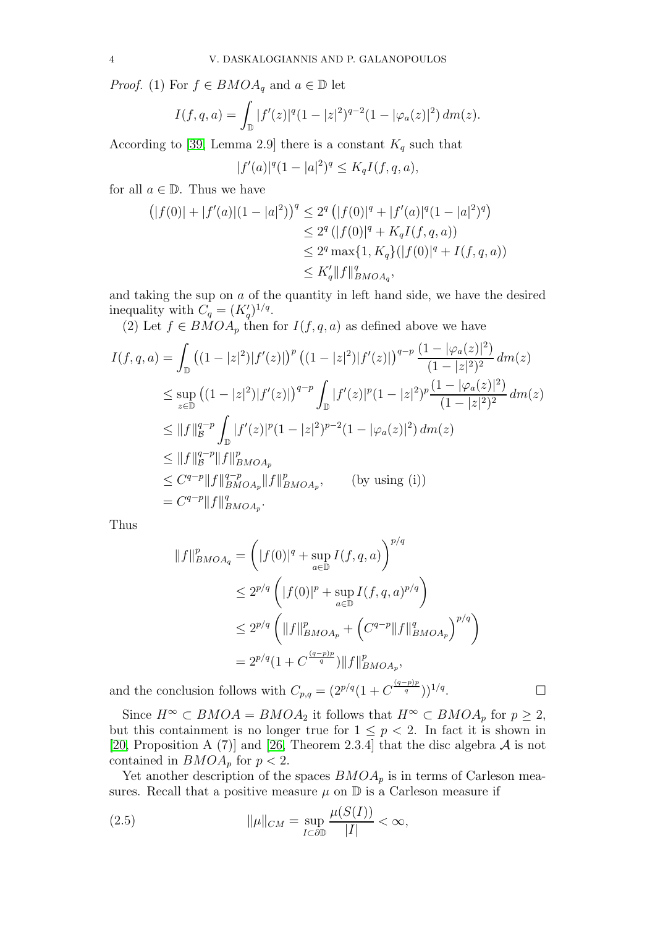*Proof.* (1) For  $f \in BMOA_q$  and  $a \in \mathbb{D}$  let

$$
I(f,q,a) = \int_{\mathbb{D}} |f'(z)|^q (1-|z|^2)^{q-2} (1-|\varphi_a(z)|^2) dm(z).
$$

According to [\[39,](#page-24-1) Lemma 2.9] there is a constant  $K_q$  such that

$$
|f'(a)|^q (1-|a|^2)^q \le K_q I(f,q,a),
$$

for all  $a \in \mathbb{D}$ . Thus we have

$$
(|f(0)| + |f'(a)|(1 - |a|^2))^q \le 2^q (|f(0)|^q + |f'(a)|^q (1 - |a|^2)^q)
$$
  
\n
$$
\le 2^q (|f(0)|^q + K_q I(f, q, a))
$$
  
\n
$$
\le 2^q \max\{1, K_q\} (|f(0)|^q + I(f, q, a))
$$
  
\n
$$
\le K'_q ||f||_{BMOA_q}^q,
$$

and taking the sup on a of the quantity in left hand side, we have the desired inequality with  $C_q = (K'_q)^{1/q}$ .

(2) Let  $f \in BMOA_p$  then for  $I(f, q, a)$  as defined above we have

$$
I(f, q, a) = \int_{\mathbb{D}} \left( (1 - |z|^2) |f'(z)| \right)^p \left( (1 - |z|^2) |f'(z)| \right)^{q-p} \frac{(1 - |\varphi_a(z)|^2)}{(1 - |z|^2)^2} dm(z)
$$
  
\n
$$
\leq \sup_{z \in \mathbb{D}} \left( (1 - |z|^2) |f'(z)| \right)^{q-p} \int_{\mathbb{D}} |f'(z)|^p (1 - |z|^2)^p \frac{(1 - |\varphi_a(z)|^2)}{(1 - |z|^2)^2} dm(z)
$$
  
\n
$$
\leq \|f\|_{\mathcal{B}}^{q-p} \int_{\mathbb{D}} |f'(z)|^p (1 - |z|^2)^{p-2} (1 - |\varphi_a(z)|^2) dm(z)
$$
  
\n
$$
\leq \|f\|_{\mathcal{B}}^{q-p} \|f\|_{BMOA_p}^p
$$
  
\n
$$
\leq C^{q-p} \|f\|_{BMOA_p}^{q-p} \|f\|_{BMOA_p}^p,
$$
 (by using (i))  
\n
$$
= C^{q-p} \|f\|_{BMOA_p}^q.
$$

Thus

$$
||f||_{BMOA_q}^p = (|f(0)|^q + \sup_{a \in \mathbb{D}} I(f, q, a))^{p/q}
$$
  
\n
$$
\leq 2^{p/q} (|f(0)|^p + \sup_{a \in \mathbb{D}} I(f, q, a)^{p/q})
$$
  
\n
$$
\leq 2^{p/q} (||f||_{BMOA_p}^p + (C^{q-p}||f||_{BMOA_p}^q)^{p/q})
$$
  
\n
$$
= 2^{p/q} (1 + C^{\frac{(q-p)p}{q}})||f||_{BMOA_p}^p,
$$

. — Профессор — Профессор — Профессор — Профессор — Профессор — Профессор — Профессор — Профессор — Профессор <br>В профессор — Профессор — Профессор — Профессор — Профессор — Профессор — Профессор — Профессор — Профессор —

and the conclusion follows with  $C_{p,q} = (2^{p/q}(1+C^{\frac{(q-p)p}{q}}))^{1/q}$ 

Since  $H^{\infty} \subset BMOA = BMOA_2$  it follows that  $H^{\infty} \subset BMOA_p$  for  $p \geq 2$ , but this containment is no longer true for  $1 \leq p < 2$ . In fact it is shown in [\[20,](#page-23-3) Proposition A (7)] and [\[26,](#page-24-2) Theorem 2.3.4] that the disc algebra  $A$  is not contained in  $BMOA_p$  for  $p < 2$ .

Yet another description of the spaces  $BMOA<sub>n</sub>$  is in terms of Carleson measures. Recall that a positive measure  $\mu$  on  $\mathbb D$  is a Carleson measure if

<span id="page-3-0"></span>(2.5) 
$$
\|\mu\|_{CM} = \sup_{I \subset \partial \mathbb{D}} \frac{\mu(S(I))}{|I|} < \infty,
$$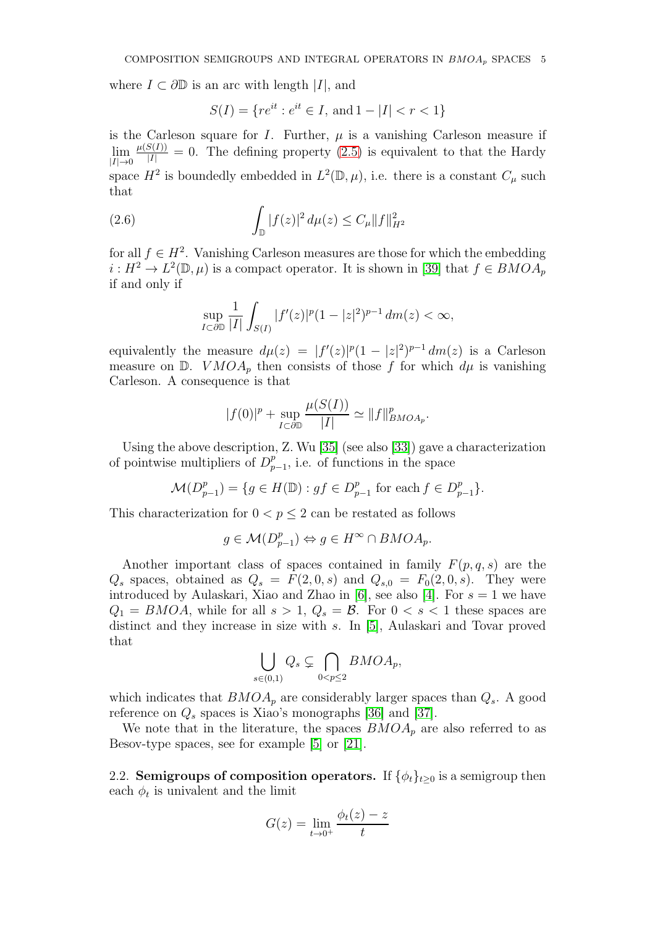where  $I \subset \partial \mathbb{D}$  is an arc with length |I|, and

$$
S(I) = \{ re^{it} : e^{it} \in I, \text{ and } 1 - |I| < r < 1 \}
$$

is the Carleson square for I. Further,  $\mu$  is a vanishing Carleson measure if  $\lim_{|I|\to 0}$  $\frac{\mu(S(I))}{|I|} = 0$ . The defining property [\(2.5\)](#page-3-0) is equivalent to that the Hardy space  $H^2$  is boundedly embedded in  $L^2(\mathbb{D}, \mu)$ , i.e. there is a constant  $C_\mu$  such that

(2.6) 
$$
\int_{\mathbb{D}} |f(z)|^2 d\mu(z) \leq C_{\mu} ||f||_{H^2}^2
$$

for all  $f \in H^2$ . Vanishing Carleson measures are those for which the embedding  $i: H^2 \to L^2(\mathbb{D}, \mu)$  is a compact operator. It is shown in [\[39\]](#page-24-1) that  $f \in BMOA_p$ if and only if

<span id="page-4-0"></span>
$$
\sup_{I \subset \partial \mathbb{D}} \frac{1}{|I|} \int_{S(I)} |f'(z)|^p (1-|z|^2)^{p-1} dm(z) < \infty,
$$

equivalently the measure  $d\mu(z) = |f'(z)|^p (1 - |z|^2)^{p-1} dm(z)$  is a Carleson measure on  $\mathbb{D}$ .  $VMOA_p$  then consists of those f for which  $d\mu$  is vanishing Carleson. A consequence is that

$$
|f(0)|^p + \sup_{I \subset \partial \mathbb{D}} \frac{\mu(S(I))}{|I|} \simeq ||f||_{BMOA_p}^p.
$$

Using the above description, Z. Wu [\[35\]](#page-24-4) (see also [\[33\]](#page-24-3)) gave a characterization of pointwise multipliers of  $D_n^p$  $_{p-1}^p$ , i.e. of functions in the space

$$
\mathcal{M}(D_{p-1}^p) = \{ g \in H(\mathbb{D}) : gf \in D_{p-1}^p \text{ for each } f \in D_{p-1}^p \}.
$$

This characterization for  $0 < p \leq 2$  can be restated as follows

$$
g \in \mathcal{M}(D_{p-1}^p) \Leftrightarrow g \in H^{\infty} \cap BMOA_p.
$$

Another important class of spaces contained in family  $F(p, q, s)$  are the  $Q_s$  spaces, obtained as  $Q_s = F(2, 0, s)$  and  $Q_{s,0} = F_0(2, 0, s)$ . They were introduced by Aulaskari, Xiao and Zhao in [\[6\]](#page-23-4), see also [\[4\]](#page-23-5). For  $s = 1$  we have  $Q_1 = BMOA$ , while for all  $s > 1$ ,  $Q_s = \mathcal{B}$ . For  $0 < s < 1$  these spaces are distinct and they increase in size with s. In [\[5\]](#page-23-6), Aulaskari and Tovar proved that

$$
\bigcup_{s\in(0,1)} Q_s \subsetneq \bigcap_{0
$$

which indicates that  $BMOA_p$  are considerably larger spaces than  $Q_s$ . A good reference on  $Q_s$  spaces is Xiao's monographs [\[36\]](#page-24-5) and [\[37\]](#page-24-6).

We note that in the literature, the spaces  $BMOA<sub>p</sub>$  are also referred to as Besov-type spaces, see for example [\[5\]](#page-23-6) or [\[21\]](#page-23-7).

2.2. Semigroups of composition operators. If  $\{\phi_t\}_{t>0}$  is a semigroup then each  $\phi_t$  is univalent and the limit

$$
G(z) = \lim_{t \to 0^+} \frac{\phi_t(z) - z}{t}
$$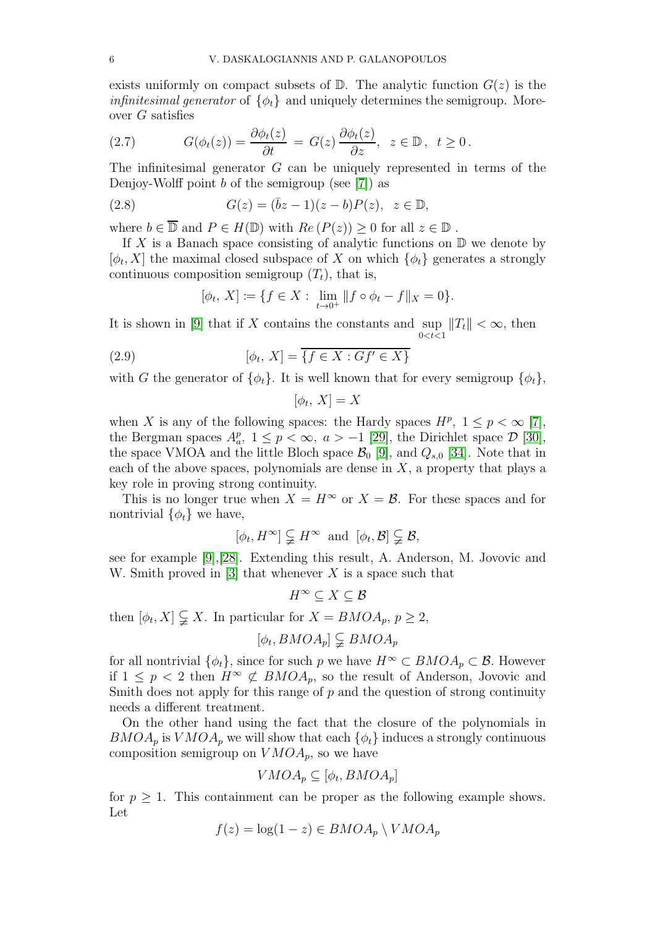exists uniformly on compact subsets of  $\mathbb{D}$ . The analytic function  $G(z)$  is the *infinitesimal generator* of  $\{\phi_t\}$  and uniquely determines the semigroup. Moreover G satisfies

(2.7) 
$$
G(\phi_t(z)) = \frac{\partial \phi_t(z)}{\partial t} = G(z) \frac{\partial \phi_t(z)}{\partial z}, \ z \in \mathbb{D}, \ t \ge 0.
$$

The infinitesimal generator G can be uniquely represented in terms of the Denjoy-Wolff point  $b$  of the semigroup (see [\[7\]](#page-23-0)) as

(2.8) 
$$
G(z) = (\bar{b}z - 1)(z - b)P(z), z \in \mathbb{D},
$$

where  $b \in \overline{\mathbb{D}}$  and  $P \in H(\mathbb{D})$  with  $Re(P(z)) \geq 0$  for all  $z \in \mathbb{D}$ .

If X is a Banach space consisting of analytic functions on  $\mathbb D$  we denote by  $[\phi_t, X]$  the maximal closed subspace of X on which  $\{\phi_t\}$  generates a strongly continuous composition semigroup  $(T_t)$ , that is,

<span id="page-5-1"></span>
$$
[\phi_t, X] := \{ f \in X : \lim_{t \to 0^+} ||f \circ \phi_t - f||_X = 0 \}.
$$

It is shown in  $[9]$  that if X contains the constants and sup  $\sup_{0 < t < 1} ||T_t|| < \infty$ , then

(2.9) 
$$
[\phi_t, X] = \overline{\{f \in X : Gf' \in X\}}
$$

with G the generator of  $\{\phi_t\}$ . It is well known that for every semigroup  $\{\phi_t\}$ ,

<span id="page-5-0"></span>
$$
[\phi_t, X] = X
$$

when X is any of the following spaces: the Hardy spaces  $H^p$ ,  $1 \leq p < \infty$  [\[7\]](#page-23-0), the Bergman spaces  $A_a^p$ ,  $1 \leq p < \infty$ ,  $a > -1$  [\[29\]](#page-24-7), the Dirichlet space  $\mathcal{D}$  [\[30\]](#page-24-8), the space VMOA and the little Bloch space  $\mathcal{B}_0$  [\[9\]](#page-23-8), and  $Q_{s,0}$  [\[34\]](#page-24-9). Note that in each of the above spaces, polynomials are dense in  $X$ , a property that plays a key role in proving strong continuity.

This is no longer true when  $X = H^{\infty}$  or  $X = \mathcal{B}$ . For these spaces and for nontrivial  $\{\phi_t\}$  we have,

$$
[\phi_t, H^{\infty}] \subsetneq H^{\infty}
$$
 and  $[\phi_t, \mathcal{B}] \subsetneq \mathcal{B}$ ,

see for example [\[9\]](#page-23-8),[\[28\]](#page-24-10). Extending this result, A. Anderson, M. Jovovic and W. Smith proved in [\[3\]](#page-23-9) that whenever  $X$  is a space such that

$$
H^\infty\subseteq X\subseteq\mathcal{B}
$$

then  $[\phi_t, X] \subsetneq X$ . In particular for  $X = BMOA_p$ ,  $p \geq 2$ ,

$$
[\phi_t, BMOA_p] \subsetneq BMOA_p
$$

for all nontrivial  $\{\phi_t\}$ , since for such p we have  $H^{\infty} \subset BMOA_p \subset \mathcal{B}$ . However if  $1 \leq p < 2$  then  $H^{\infty} \not\subset BMOA_p$ , so the result of Anderson, Jovovic and Smith does not apply for this range of  $p$  and the question of strong continuity needs a different treatment.

On the other hand using the fact that the closure of the polynomials in  $BMOA_p$  is  $VMOA_p$  we will show that each  $\{\phi_t\}$  induces a strongly continuous composition semigroup on  $VMOA_p$ , so we have

$$
VMOA_p \subseteq [\phi_t, BMOA_p]
$$

for  $p \geq 1$ . This containment can be proper as the following example shows. Let

$$
f(z) = \log(1 - z) \in BMOA_p \setminus VMOA_p
$$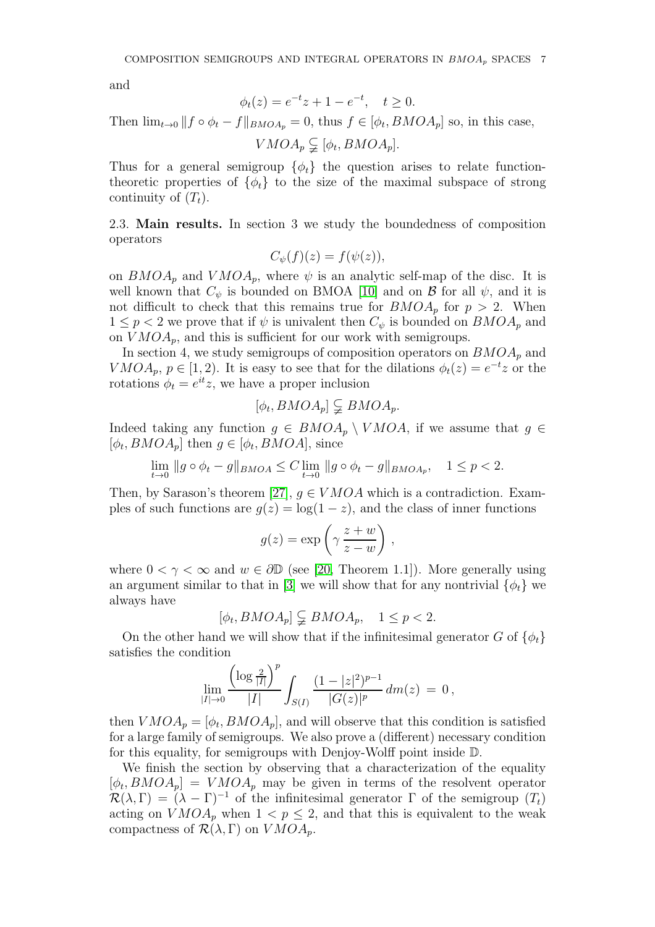and

$$
\phi_t(z) = e^{-t}z + 1 - e^{-t}, \quad t \ge 0.
$$

Then  $\lim_{t\to 0} || f \circ \phi_t - f ||_{BMOA_p} = 0$ , thus  $f \in [\phi_t, BMOA_p]$  so, in this case,

 $VMOA_p \subsetneq [\phi_t, BMOA_p].$ 

Thus for a general semigroup  $\{\phi_t\}$  the question arises to relate functiontheoretic properties of  $\{\phi_t\}$  to the size of the maximal subspace of strong continuity of  $(T_t)$ .

2.3. Main results. In section 3 we study the boundedness of composition operators

$$
C_{\psi}(f)(z) = f(\psi(z)),
$$

on  $BMOA_p$  and  $VMOA_p$ , where  $\psi$  is an analytic self-map of the disc. It is well known that  $C_{\psi}$  is bounded on BMOA [\[10\]](#page-23-10) and on  $\mathcal{B}$  for all  $\psi$ , and it is not difficult to check that this remains true for  $BMOA_p$  for  $p > 2$ . When  $1 \leq p < 2$  we prove that if  $\psi$  is univalent then  $C_{\psi}$  is bounded on  $BMOA_p$  and on  $VMOA_p$ , and this is sufficient for our work with semigroups.

In section 4, we study semigroups of composition operators on  $BMOA<sub>p</sub>$  and  $VMOA_p$ ,  $p \in [1,2)$ . It is easy to see that for the dilations  $\phi_t(z) = e^{-t}z$  or the rotations  $\phi_t = e^{it}z$ , we have a proper inclusion

$$
[\phi_t, BMOA_p] \subsetneq BMOA_p.
$$

Indeed taking any function  $g \in BMOA_p \setminus VMOA$ , if we assume that  $g \in BMOA_p$  $[\phi_t, BMOA_p]$  then  $g \in [\phi_t, BMOA]$ , since

$$
\lim_{t \to 0} \|g \circ \phi_t - g\|_{BMOA} \le C \lim_{t \to 0} \|g \circ \phi_t - g\|_{BMOA_p}, \quad 1 \le p < 2.
$$

Then, by Sarason's theorem [\[27\]](#page-24-11),  $g \in VMOA$  which is a contradiction. Examples of such functions are  $q(z) = \log(1 - z)$ , and the class of inner functions

$$
g(z) = \exp\left(\gamma \frac{z+w}{z-w}\right),\,
$$

where  $0 < \gamma < \infty$  and  $w \in \partial \mathbb{D}$  (see [\[20,](#page-23-3) Theorem 1.1]). More generally using an argument similar to that in [\[3\]](#page-23-9) we will show that for any nontrivial  $\{\phi_t\}$  we always have

$$
[\phi_t, BMOA_p] \subsetneq BMOA_p, \quad 1 \le p < 2.
$$

On the other hand we will show that if the infinitesimal generator G of  $\{\phi_t\}$ satisfies the condition

$$
\lim_{|I|\to 0}\frac{\left(\log\frac{2}{|I|}\right)^p}{|I|}\int_{S(I)}\frac{(1-|z|^2)^{p-1}}{|G(z)|^p}\,dm(z)\,=\,0\,,
$$

then  $VMOA_p = [\phi_t, BMOA_p]$ , and will observe that this condition is satisfied for a large family of semigroups. We also prove a (different) necessary condition for this equality, for semigroups with Denjoy-Wolff point inside D.

We finish the section by observing that a characterization of the equality  $[\phi_t, BMOA_p] = VMOA_p$  may be given in terms of the resolvent operator  $\mathcal{R}(\lambda, \Gamma) = (\lambda - \Gamma)^{-1}$  of the infinitesimal generator  $\Gamma$  of the semigroup  $(T_t)$ acting on  $VMOA_n$  when  $1 < p < 2$ , and that this is equivalent to the weak compactness of  $\mathcal{R}(\lambda, \Gamma)$  on  $VMOA_n$ .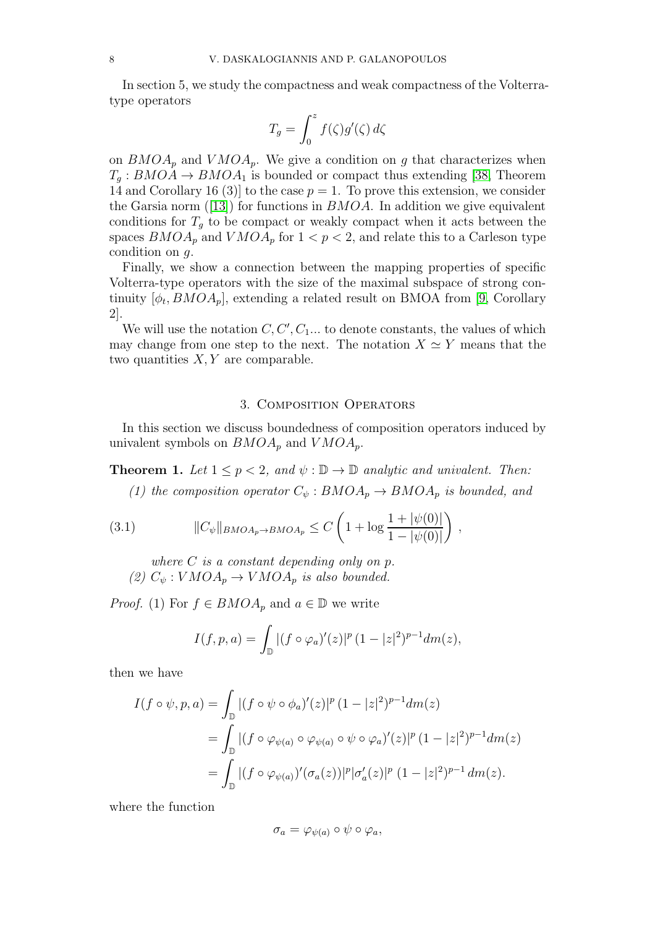In section 5, we study the compactness and weak compactness of the Volterratype operators

$$
T_g = \int_0^z f(\zeta)g'(\zeta) d\zeta
$$

on  $BMOA_p$  and  $VMOA_p$ . We give a condition on g that characterizes when  $T_q: BMOA \to BMOA_1$  is bounded or compact thus extending [\[38,](#page-24-0) Theorem 14 and Corollary 16 (3) to the case  $p = 1$ . To prove this extension, we consider theGarsia norm ([\[13\]](#page-23-11)) for functions in  $BMOA$ . In addition we give equivalent conditions for  $T_q$  to be compact or weakly compact when it acts between the spaces  $BMOA_p$  and  $VMOA_p$  for  $1 < p < 2$ , and relate this to a Carleson type condition on  $q$ .

Finally, we show a connection between the mapping properties of specific Volterra-type operators with the size of the maximal subspace of strong continuity  $[\phi_t, BMOA_p]$ , extending a related result on BMOA from [\[9,](#page-23-8) Corollary 2].

We will use the notation  $C, C', C_1...$  to denote constants, the values of which may change from one step to the next. The notation  $X \simeq Y$  means that the two quantities  $X, Y$  are comparable.

### 3. Composition Operators

In this section we discuss boundedness of composition operators induced by univalent symbols on  $BMOA_p$  and  $VMOA_p$ .

**Theorem 1.** Let  $1 \leq p < 2$ , and  $\psi : \mathbb{D} \to \mathbb{D}$  analytic and univalent. Then:

<span id="page-7-0"></span>(1) the composition operator  $C_{\psi} : BMOA_p \to BMOA_p$  is bounded, and

(3.1) 
$$
||C_{\psi}||_{BMOA_p \to BMOA_p} \leq C \left(1 + \log \frac{1 + |\psi(0)|}{1 - |\psi(0)|}\right),
$$

where  $C$  is a constant depending only on  $p$ . (2)  $C_{\psi}: VMOA_p \to VMOA_p$  is also bounded.

*Proof.* (1) For  $f \in BMOA_p$  and  $a \in \mathbb{D}$  we write

$$
I(f, p, a) = \int_{\mathbb{D}} |(f \circ \varphi_a)'(z)|^p (1 - |z|^2)^{p-1} dm(z),
$$

then we have

$$
I(f \circ \psi, p, a) = \int_{\mathbb{D}} |(f \circ \psi \circ \phi_a)'(z)|^p (1 - |z|^2)^{p-1} dm(z)
$$
  
= 
$$
\int_{\mathbb{D}} |(f \circ \varphi_{\psi(a)} \circ \varphi_{\psi(a)} \circ \psi \circ \varphi_a)'(z)|^p (1 - |z|^2)^{p-1} dm(z)
$$
  
= 
$$
\int_{\mathbb{D}} |(f \circ \varphi_{\psi(a)})'(\sigma_a(z))|^p |\sigma'_a(z)|^p (1 - |z|^2)^{p-1} dm(z).
$$

where the function

$$
\sigma_a = \varphi_{\psi(a)} \circ \psi \circ \varphi_a,
$$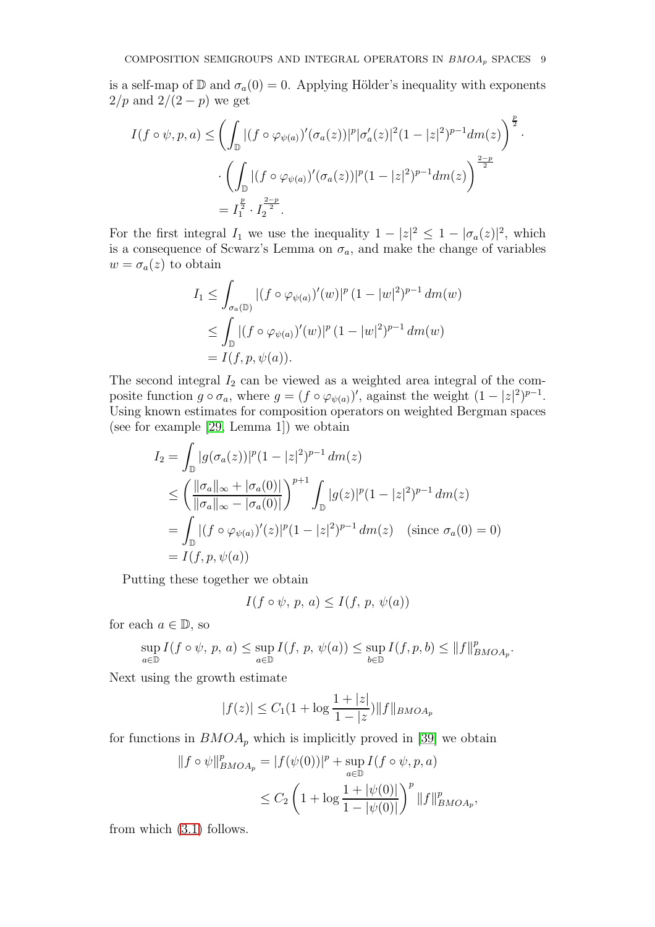is a self-map of  $\mathbb D$  and  $\sigma_a(0) = 0$ . Applying Hölder's inequality with exponents  $2/p$  and  $2/(2-p)$  we get

$$
I(f \circ \psi, p, a) \leq \left( \int_{\mathbb{D}} |(f \circ \varphi_{\psi(a)})'(\sigma_a(z))|^p |\sigma'_a(z)|^2 (1 - |z|^2)^{p-1} dm(z) \right)^{\frac{p}{2}} \cdot \left( \int_{\mathbb{D}} |(f \circ \varphi_{\psi(a)})'(\sigma_a(z))|^p (1 - |z|^2)^{p-1} dm(z) \right)^{\frac{2-p}{2}} = I_1^{\frac{p}{2}} \cdot I_2^{\frac{2-p}{2}}.
$$

For the first integral  $I_1$  we use the inequality  $1 - |z|^2 \leq 1 - |\sigma_a(z)|^2$ , which is a consequence of Scwarz's Lemma on  $\sigma_a$ , and make the change of variables  $w = \sigma_a(z)$  to obtain

$$
I_1 \leq \int_{\sigma_a(\mathbb{D})} |(f \circ \varphi_{\psi(a)})'(w)|^p (1 - |w|^2)^{p-1} dm(w)
$$
  
 
$$
\leq \int_{\mathbb{D}} |(f \circ \varphi_{\psi(a)})'(w)|^p (1 - |w|^2)^{p-1} dm(w)
$$
  
 
$$
= I(f, p, \psi(a)).
$$

The second integral  $I_2$  can be viewed as a weighted area integral of the composite function  $g \circ \sigma_a$ , where  $g = (f \circ \varphi_{\psi(a)})'$ , against the weight  $(1 - |z|^2)^{p-1}$ . Using known estimates for composition operators on weighted Bergman spaces (see for example [\[29,](#page-24-7) Lemma 1]) we obtain

$$
I_2 = \int_{\mathbb{D}} |g(\sigma_a(z))|^p (1 - |z|^2)^{p-1} dm(z)
$$
  
\n
$$
\leq \left( \frac{||\sigma_a||_{\infty} + |\sigma_a(0)|}{||\sigma_a||_{\infty} - |\sigma_a(0)|} \right)^{p+1} \int_{\mathbb{D}} |g(z)|^p (1 - |z|^2)^{p-1} dm(z)
$$
  
\n
$$
= \int_{\mathbb{D}} |(f \circ \varphi_{\psi(a)})'(z)|^p (1 - |z|^2)^{p-1} dm(z) \quad (\text{since } \sigma_a(0) = 0)
$$
  
\n
$$
= I(f, p, \psi(a))
$$

Putting these together we obtain

$$
I(f \circ \psi, p, a) \le I(f, p, \psi(a))
$$

for each  $a \in \mathbb{D}$ , so

$$
\sup_{a\in\mathbb{D}} I(f\circ\psi,\,p,\,a) \leq \sup_{a\in\mathbb{D}} I(f,\,p,\,\psi(a)) \leq \sup_{b\in\mathbb{D}} I(f,p,\,b) \leq ||f||_{BMOA_p}^p.
$$

Next using the growth estimate

$$
|f(z)| \le C_1(1 + \log \frac{1+|z|}{1-|z|}) \|f\|_{BMOA_p}
$$

for functions in  $BMOA_p$  which is implicitly proved in [\[39\]](#page-24-1) we obtain

$$
||f \circ \psi||_{BMOA_p}^p = |f(\psi(0))|^p + \sup_{a \in \mathbb{D}} I(f \circ \psi, p, a)
$$
  

$$
\leq C_2 \left(1 + \log \frac{1 + |\psi(0)|}{1 - |\psi(0)|}\right)^p ||f||_{BMOA_p}^p,
$$

from which [\(3.1\)](#page-7-0) follows.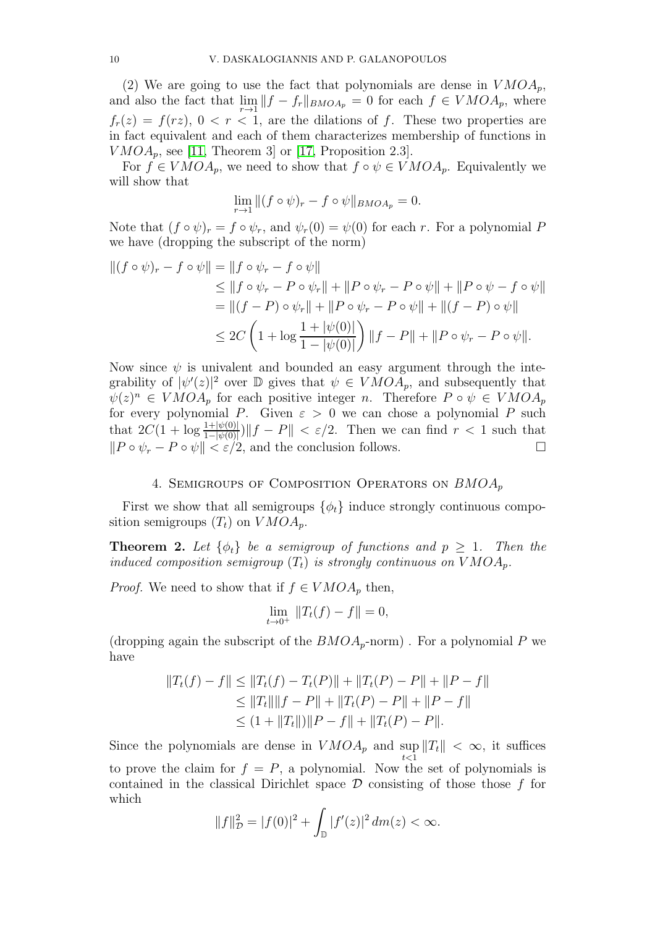(2) We are going to use the fact that polynomials are dense in  $VMOA_p$ , and also the fact that  $\lim_{r \to 1} ||f - f_r||_{BMOA_p} = 0$  for each  $f \in VMOA_p$ , where  $f_r(z) = f(rz)$ ,  $0 < r < 1$ , are the dilations of f. These two properties are in fact equivalent and each of them characterizes membership of functions in  $VMOA_p$ , see [\[11,](#page-23-2) Theorem 3] or [\[17,](#page-23-12) Proposition 2.3].

For  $f \in VMOA_p$ , we need to show that  $f \circ \psi \in VMOA_p$ . Equivalently we will show that

$$
\lim_{r \to 1} \|(f \circ \psi)_r - f \circ \psi\|_{BMOA_p} = 0.
$$

Note that  $(f \circ \psi)_r = f \circ \psi_r$ , and  $\psi_r(0) = \psi(0)$  for each r. For a polynomial P we have (dropping the subscript of the norm)

$$
||(f \circ \psi)_r - f \circ \psi|| = ||f \circ \psi_r - f \circ \psi||
$$
  
\n
$$
\leq ||f \circ \psi_r - P \circ \psi_r|| + ||P \circ \psi_r - P \circ \psi|| + ||P \circ \psi - f \circ \psi||
$$
  
\n
$$
= ||(f - P) \circ \psi_r|| + ||P \circ \psi_r - P \circ \psi|| + ||(f - P) \circ \psi||
$$
  
\n
$$
\leq 2C \left(1 + \log \frac{1 + |\psi(0)|}{1 - |\psi(0)|}\right) ||f - P|| + ||P \circ \psi_r - P \circ \psi||.
$$

Now since  $\psi$  is univalent and bounded an easy argument through the integrability of  $|\psi'(z)|^2$  over  $\mathbb D$  gives that  $\psi \in VMOA_p$ , and subsequently that  $\psi(z)^n \in VMOA_p$  for each positive integer n. Therefore  $P \circ \psi \in VMOA_p$ for every polynomial P. Given  $\varepsilon > 0$  we can chose a polynomial P such that  $2C(1 + \log \frac{1 + |\psi(0)|}{1 - |\psi(0)|}) \|f - P\| < \varepsilon/2$ . Then we can find  $r < 1$  such that  $||P \circ \psi_r - P \circ \psi|| < \varepsilon/2$ , and the conclusion follows.

## 4. SEMIGROUPS OF COMPOSITION OPERATORS ON  $BMOA_p$

First we show that all semigroups  $\{\phi_t\}$  induce strongly continuous composition semigroups  $(T_t)$  on  $VMOA_p$ .

**Theorem 2.** Let  $\{\phi_t\}$  be a semigroup of functions and  $p \geq 1$ . Then the induced composition semigroup  $(T_t)$  is strongly continuous on  $VMOA_p$ .

*Proof.* We need to show that if  $f \in VMOA_p$  then,

$$
\lim_{t \to 0^+} \|T_t(f) - f\| = 0,
$$

(dropping again the subscript of the  $BMOA_p$ -norm). For a polynomial P we have

$$
||T_t(f) - f|| \le ||T_t(f) - T_t(P)|| + ||T_t(P) - P|| + ||P - f||
$$
  
\n
$$
\le ||T_t|| ||f - P|| + ||T_t(P) - P|| + ||P - f||
$$
  
\n
$$
\le (1 + ||T_t||) ||P - f|| + ||T_t(P) - P||.
$$

Since the polynomials are dense in  $VMOA_p$  and  $\sup_{t \leq 1} ||T_t|| < \infty$ , it suffices to prove the claim for  $f = P$ , a polynomial. Now the set of polynomials is contained in the classical Dirichlet space  $\mathcal D$  consisting of those those f for which

$$
||f||_{\mathcal{D}}^{2} = |f(0)|^{2} + \int_{\mathbb{D}} |f'(z)|^{2} dm(z) < \infty.
$$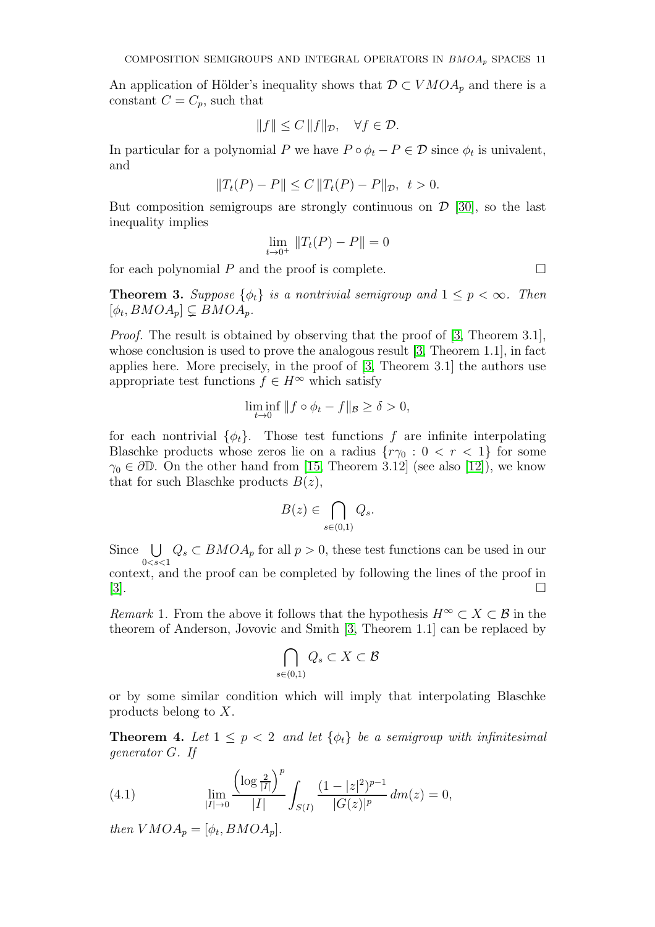An application of Hölder's inequality shows that  $\mathcal{D} \subset VMOA_p$  and there is a constant  $C = C_p$ , such that

$$
||f|| \le C ||f||_{\mathcal{D}}, \quad \forall f \in \mathcal{D}.
$$

In particular for a polynomial P we have  $P \circ \phi_t - P \in \mathcal{D}$  since  $\phi_t$  is univalent, and

$$
||T_t(P) - P|| \le C ||T_t(P) - P||_{\mathcal{D}}, \quad t > 0.
$$

But composition semigroups are strongly continuous on  $\mathcal{D}$  [\[30\]](#page-24-8), so the last inequality implies

$$
\lim_{t \to 0^+} ||T_t(P) - P|| = 0
$$

for each polynomial  $P$  and the proof is complete.  $\Box$ 

**Theorem 3.** Suppose  $\{\phi_t\}$  is a nontrivial semigroup and  $1 \leq p \leq \infty$ . Then  $[\phi_t, BMOA_p] \subsetneq BMOA_p.$ 

Proof. The result is obtained by observing that the proof of [\[3,](#page-23-9) Theorem 3.1], whose conclusion is used to prove the analogous result [\[3,](#page-23-9) Theorem 1.1], in fact applies here. More precisely, in the proof of [\[3,](#page-23-9) Theorem 3.1] the authors use appropriate test functions  $f \in H^{\infty}$  which satisfy

$$
\liminf_{t \to 0} ||f \circ \phi_t - f||_{\mathcal{B}} \ge \delta > 0,
$$

for each nontrivial  $\{\phi_t\}$ . Those test functions f are infinite interpolating Blaschke products whose zeros lie on a radius  $\{r\gamma_0: 0 < r < 1\}$  for some  $\gamma_0 \in \partial \mathbb{D}$ . On the other hand from [\[15,](#page-23-13) Theorem 3.12] (see also [\[12\]](#page-23-14)), we know that for such Blaschke products  $B(z)$ ,

$$
B(z) \in \bigcap_{s \in (0,1)} Q_s.
$$

Since U  $0 < s < 1$  $Q_s \subset BMOA_p$  for all  $p > 0$ , these test functions can be used in our context, and the proof can be completed by following the lines of the proof in [\[3\]](#page-23-9).

*Remark* 1. From the above it follows that the hypothesis  $H^{\infty} \subset X \subset \mathcal{B}$  in the theorem of Anderson, Jovovic and Smith [\[3,](#page-23-9) Theorem 1.1] can be replaced by

$$
\bigcap_{s\in(0,1)}Q_s\subset X\subset\mathcal{B}
$$

or by some similar condition which will imply that interpolating Blaschke products belong to X.

<span id="page-10-1"></span>**Theorem 4.** Let  $1 \leq p < 2$  and let  $\{\phi_t\}$  be a semigroup with infinitesimal generator G. If

<span id="page-10-0"></span>(4.1) 
$$
\lim_{|I| \to 0} \frac{\left(\log \frac{2}{|I|}\right)^p}{|I|} \int_{S(I)} \frac{(1-|z|^2)^{p-1}}{|G(z)|^p} dm(z) = 0,
$$

then  $VMOA_p = [\phi_t, BMOA_p].$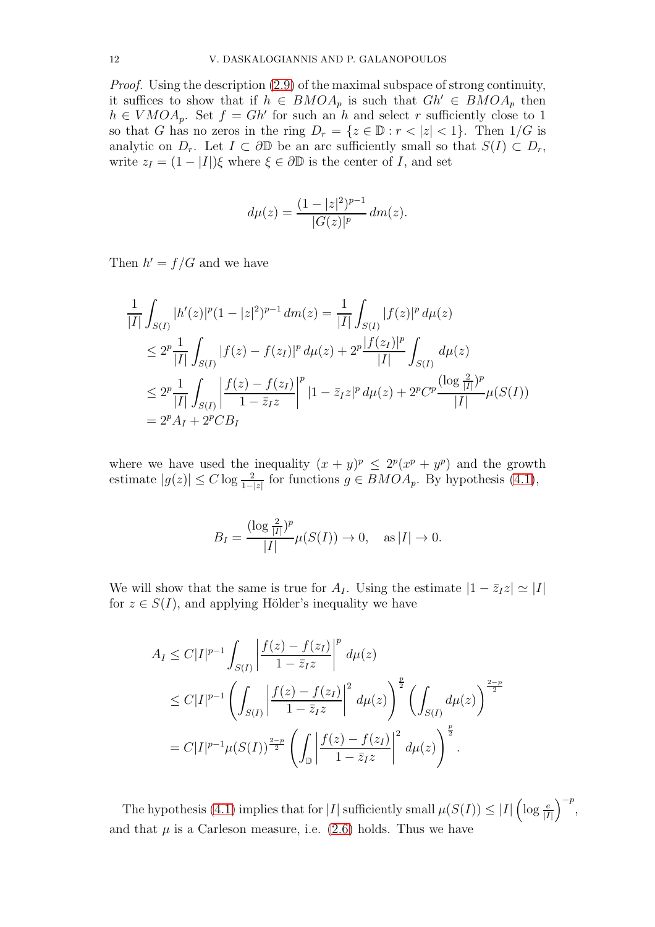Proof. Using the description [\(2.9\)](#page-5-0) of the maximal subspace of strong continuity, it suffices to show that if  $h \in BMOA_p$  is such that  $Gh' \in BMOA_p$  then  $h \in VMOA_p$ . Set  $f = Gh'$  for such an h and select r sufficiently close to 1 so that G has no zeros in the ring  $D_r = \{z \in \mathbb{D} : r < |z| < 1\}$ . Then  $1/G$  is analytic on  $D_r$ . Let  $I \subset \partial \mathbb{D}$  be an arc sufficiently small so that  $S(I) \subset D_r$ , write  $z_I = (1 - |I|)\xi$  where  $\xi \in \partial \mathbb{D}$  is the center of I, and set

$$
d\mu(z) = \frac{(1 - |z|^2)^{p-1}}{|G(z)|^p} dm(z).
$$

Then  $h' = f/G$  and we have

$$
\frac{1}{|I|} \int_{S(I)} |h'(z)|^p (1 - |z|^2)^{p-1} dm(z) = \frac{1}{|I|} \int_{S(I)} |f(z)|^p d\mu(z)
$$
\n
$$
\leq 2^p \frac{1}{|I|} \int_{S(I)} |f(z) - f(z_I)|^p d\mu(z) + 2^p \frac{|f(z_I)|^p}{|I|} \int_{S(I)} d\mu(z)
$$
\n
$$
\leq 2^p \frac{1}{|I|} \int_{S(I)} \left| \frac{f(z) - f(z_I)}{1 - \overline{z}_I z} \right|^p |1 - \overline{z}_I z|^p d\mu(z) + 2^p C^p \frac{(\log \frac{2}{|I|})^p}{|I|} \mu(S(I))
$$
\n
$$
= 2^p A_I + 2^p C B_I
$$

where we have used the inequality  $(x + y)^p \leq 2^p(x^p + y^p)$  and the growth estimate  $|g(z)| \leq C \log \frac{2}{1-|z|}$  for functions  $g \in BMOA_p$ . By hypothesis [\(4.1\)](#page-10-0),

$$
B_I = \frac{(\log \frac{2}{|I|})^p}{|I|} \mu(S(I)) \to 0, \quad \text{as } |I| \to 0.
$$

We will show that the same is true for  $A_I$ . Using the estimate  $|1 - \bar{z}_I z| \simeq |I|$ for  $z \in S(I)$ , and applying Hölder's inequality we have

$$
A_{I} \leq C|I|^{p-1} \int_{S(I)} \left| \frac{f(z) - f(z_{I})}{1 - \bar{z}_{I}z} \right|^{p} d\mu(z)
$$
  
\n
$$
\leq C|I|^{p-1} \left( \int_{S(I)} \left| \frac{f(z) - f(z_{I})}{1 - \bar{z}_{I}z} \right|^{2} d\mu(z) \right)^{\frac{p}{2}} \left( \int_{S(I)} d\mu(z) \right)^{\frac{2-p}{2}}
$$
  
\n
$$
= C|I|^{p-1} \mu(S(I))^{\frac{2-p}{2}} \left( \int_{\mathbb{D}} \left| \frac{f(z) - f(z_{I})}{1 - \bar{z}_{I}z} \right|^{2} d\mu(z) \right)^{\frac{p}{2}}.
$$

The hypothesis [\(4.1\)](#page-10-0) implies that for |I| sufficiently small  $\mu(S(I)) \leq |I| \left(\log \frac{e}{|I|}\right)^{-p}$ , and that  $\mu$  is a Carleson measure, i.e. [\(2.6\)](#page-4-0) holds. Thus we have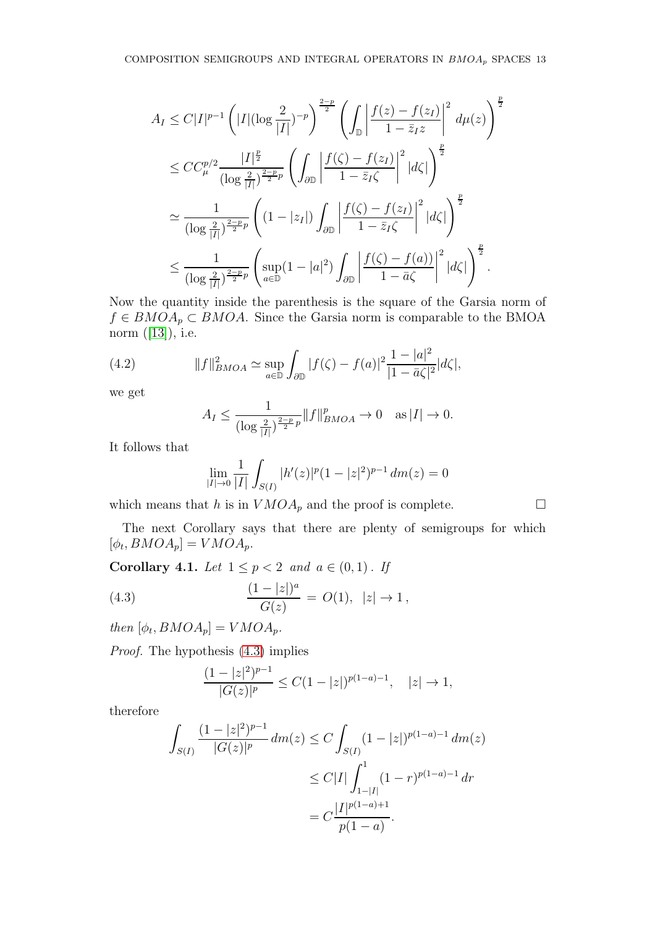$$
A_{I} \leq C|I|^{p-1} \left(|I|(\log \frac{2}{|I|})^{-p}\right)^{\frac{2-p}{2}} \left(\int_{\mathbb{D}} \left|\frac{f(z) - f(z_{I})}{1 - \bar{z}_{I}z}\right|^{2} d\mu(z)\right)^{\frac{p}{2}}
$$
  
\n
$$
\leq C C_{\mu}^{p/2} \frac{|I|^{\frac{p}{2}}}{(\log \frac{2}{|I|})^{\frac{2-p}{2}p}} \left(\int_{\partial \mathbb{D}} \left|\frac{f(\zeta) - f(z_{I})}{1 - \bar{z}_{I}\zeta}\right|^{2} |d\zeta|\right)^{\frac{p}{2}}
$$
  
\n
$$
\approx \frac{1}{(\log \frac{2}{|I|})^{\frac{2-p}{2}p}} \left((1 - |z_{I}|) \int_{\partial \mathbb{D}} \left|\frac{f(\zeta) - f(z_{I})}{1 - \bar{z}_{I}\zeta}\right|^{2} |d\zeta|\right)^{\frac{p}{2}}
$$
  
\n
$$
\leq \frac{1}{(\log \frac{2}{|I|})^{\frac{2-p}{2}p}} \left(\sup_{a \in \mathbb{D}} (1 - |a|^{2}) \int_{\partial \mathbb{D}} \left|\frac{f(\zeta) - f(a)}{1 - \bar{a}\zeta}\right|^{2} |d\zeta|\right)^{\frac{p}{2}}.
$$

Now the quantity inside the parenthesis is the square of the Garsia norm of  $f \in BMOA_p \subset BMOA$ . Since the Garsia norm is comparable to the BMOA norm $([13]),$  $([13]),$  $([13]),$  i.e.

(4.2) 
$$
||f||_{BMOA}^2 \simeq \sup_{a \in \mathbb{D}} \int_{\partial \mathbb{D}} |f(\zeta) - f(a)|^2 \frac{1 - |a|^2}{|1 - \bar{a}\zeta|^2} |d\zeta|,
$$

we get

$$
A_I \le \frac{1}{(\log \frac{2}{|I|})^{\frac{2-p}{2}p}} \|f\|_{BMOA}^p \to 0 \quad \text{as } |I| \to 0.
$$

It follows that

$$
\lim_{|I| \to 0} \frac{1}{|I|} \int_{S(I)} |h'(z)|^p (1 - |z|^2)^{p-1} dm(z) = 0
$$

which means that h is in  $VMOA_p$  and the proof is complete.  $\Box$ 

The next Corollary says that there are plenty of semigroups for which  $[\phi_t, BMOA_p] = VMOA_p.$ 

Corollary 4.1. Let  $1 \leq p < 2$  and  $a \in (0,1)$ . If

(4.3) 
$$
\frac{(1-|z|)^a}{G(z)} = O(1), \ |z| \to 1,
$$

then  $[\phi_t, BMOA_p] = VMOA_p$ .

Proof. The hypothesis [\(4.3\)](#page-12-0) implies

<span id="page-12-0"></span>
$$
\frac{(1-|z|^2)^{p-1}}{|G(z)|^p}\leq C(1-|z|)^{p(1-a)-1},\quad |z|\to 1,
$$

therefore

$$
\int_{S(I)} \frac{(1-|z|^2)^{p-1}}{|G(z)|^p} dm(z) \le C \int_{S(I)} (1-|z|)^{p(1-a)-1} dm(z)
$$
  

$$
\le C|I| \int_{1-|I|}^1 (1-r)^{p(1-a)-1} dr
$$
  

$$
= C \frac{|I|^{p(1-a)+1}}{p(1-a)}.
$$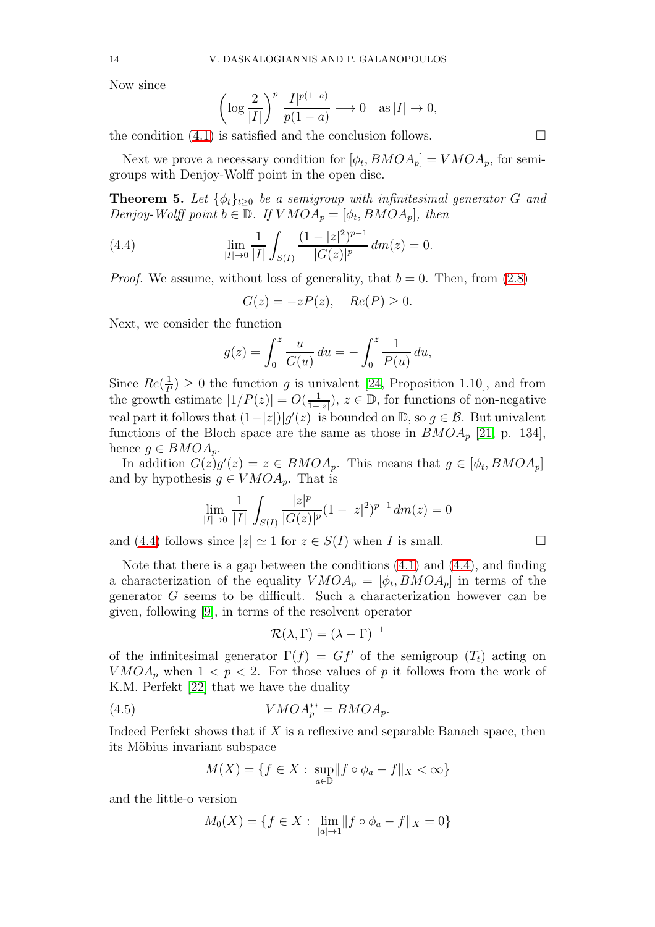Now since

$$
\left(\log\frac{2}{|I|}\right)^p \frac{|I|^{p(1-a)}}{p(1-a)} \longrightarrow 0 \quad \text{as } |I| \to 0,
$$

the condition  $(4.1)$  is satisfied and the conclusion follows.

Next we prove a necessary condition for  $[\phi_t, BMOA_p] = VMOA_p$ , for semigroups with Denjoy-Wolff point in the open disc.

**Theorem 5.** Let  $\{\phi_t\}_{t\geq 0}$  be a semigroup with infinitesimal generator G and Denjoy-Wolff point  $b \in \mathbb{D}$ . If  $VMOA_p = [\phi_t, BMOA_p]$ , then

(4.4) 
$$
\lim_{|I| \to 0} \frac{1}{|I|} \int_{S(I)} \frac{(1-|z|^2)^{p-1}}{|G(z)|^p} dm(z) = 0.
$$

*Proof.* We assume, without loss of generality, that  $b = 0$ . Then, from  $(2.8)$ 

<span id="page-13-0"></span>
$$
G(z) = -zP(z), \quad Re(P) \ge 0.
$$

Next, we consider the function

$$
g(z) = \int_0^z \frac{u}{G(u)} du = -\int_0^z \frac{1}{P(u)} du,
$$

Since  $Re(\frac{1}{F})$  $(\frac{1}{p}) \geq 0$  the function g is univalent [\[24,](#page-24-12) Proposition 1.10], and from the growth estimate  $|1/P(z)| = O(\frac{1}{1-z})$  $\frac{1}{1-|z|}$ ,  $z \in \mathbb{D}$ , for functions of non-negative real part it follows that  $(1-|z|)|g'(z)|$  is bounded on  $\mathbb{D}$ , so  $g \in \mathcal{B}$ . But univalent functions of the Bloch space are the same as those in  $BMOA_p$  [\[21,](#page-23-7) p. 134], hence  $g \in BMOA_p$ .

In addition  $G(z)g'(z) = z \in BMOA_p$ . This means that  $g \in [\phi_t, BMOA_p]$ and by hypothesis  $g \in VMOA_p$ . That is

$$
\lim_{|I| \to 0} \frac{1}{|I|} \int_{S(I)} \frac{|z|^p}{|G(z)|^p} (1 - |z|^2)^{p-1} dm(z) = 0
$$

and [\(4.4\)](#page-13-0) follows since  $|z| \simeq 1$  for  $z \in S(I)$  when I is small.

Note that there is a gap between the conditions [\(4.1\)](#page-10-0) and [\(4.4\)](#page-13-0), and finding a characterization of the equality  $VMOA_p = [\phi_t, BMOA_p]$  in terms of the generator G seems to be difficult. Such a characterization however can be given, following [\[9\]](#page-23-8), in terms of the resolvent operator

<span id="page-13-1"></span>
$$
\mathcal{R}(\lambda, \Gamma) = (\lambda - \Gamma)^{-1}
$$

of the infinitesimal generator  $\Gamma(f) = Gf'$  of the semigroup  $(T_t)$  acting on  $VMOA_p$  when  $1 < p < 2$ . For those values of p it follows from the work of K.M. Perfekt [\[22\]](#page-23-15) that we have the duality

(4.5) 
$$
VMOA_p^{**} = BMOA_p.
$$

Indeed Perfekt shows that if  $X$  is a reflexive and separable Banach space, then its Möbius invariant subspace

$$
M(X) = \{ f \in X : \sup_{a \in \mathbb{D}} ||f \circ \phi_a - f||_X < \infty \}
$$

and the little-o version

$$
M_0(X) = \{ f \in X : \lim_{|a| \to 1} ||f \circ \phi_a - f||_X = 0 \}
$$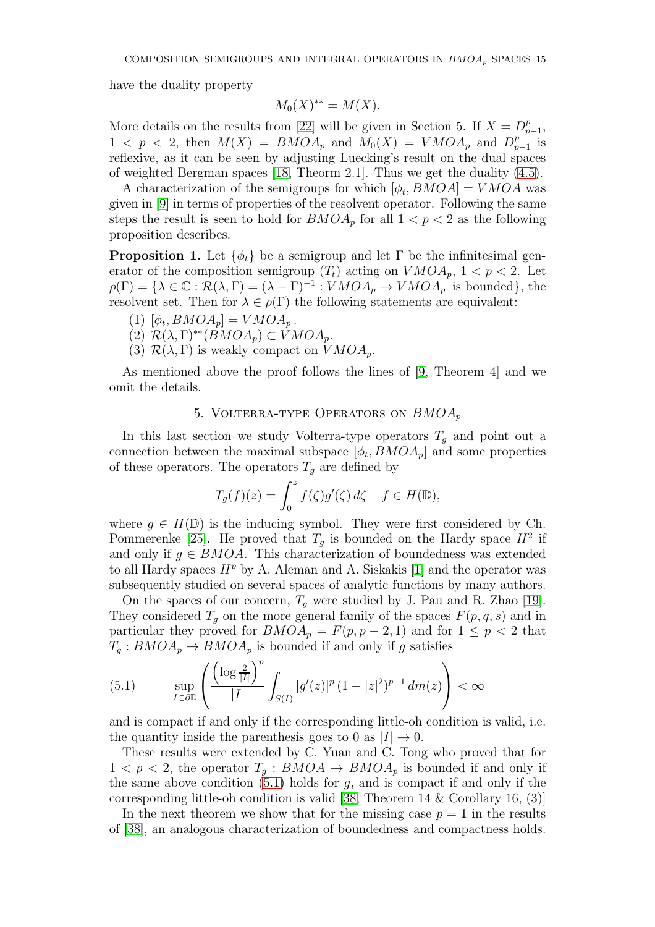have the duality property

$$
M_0(X)^{**} = M(X).
$$

More details on the results from [\[22\]](#page-23-15) will be given in Section 5. If  $X = D_p^p$ p<br>p−1,  $1 \leq p \leq 2$ , then  $M(X) = BMOA_p$  and  $M_0(X) = VMOA_p$  and  $D_p^p$  $_{p-1}^{p}$  is reflexive, as it can be seen by adjusting Luecking's result on the dual spaces of weighted Bergman spaces [\[18,](#page-23-16) Theorm 2.1]. Thus we get the duality [\(4.5\)](#page-13-1).

A characterization of the semigroups for which  $[\phi_t, BMOA] = VMOA$  was given in [\[9\]](#page-23-8) in terms of properties of the resolvent operator. Following the same steps the result is seen to hold for  $BMOA_p$  for all  $1 < p < 2$  as the following proposition describes.

**Proposition 1.** Let  $\{\phi_t\}$  be a semigroup and let  $\Gamma$  be the infinitesimal generator of the composition semigroup  $(T_t)$  acting on  $VMOA_p$ ,  $1 < p < 2$ . Let  $\rho(\Gamma) = {\lambda \in \mathbb{C} : \mathcal{R}(\lambda, \Gamma) = (\lambda - \Gamma)^{-1} : VMOA_p \to VMOA_p}$  is bounded, the resolvent set. Then for  $\lambda \in \rho(\Gamma)$  the following statements are equivalent:

- (1)  $[\phi_t, BMOA_p] = VMOA_p$ .
- (2)  $\mathcal{R}(\lambda, \Gamma)^{**}(BMOA_p) \subset VMOA_p$ .
- (3)  $\mathcal{R}(\lambda, \Gamma)$  is weakly compact on  $VMOA_p$ .

As mentioned above the proof follows the lines of [\[9,](#page-23-8) Theorem 4] and we omit the details.

### 5. VOLTERRA-TYPE OPERATORS ON  $BMOA_p$

In this last section we study Volterra-type operators  $T<sub>g</sub>$  and point out a connection between the maximal subspace  $[\phi_t, BMOA_p]$  and some properties of these operators. The operators  $T<sub>q</sub>$  are defined by

$$
T_g(f)(z) = \int_0^z f(\zeta)g'(\zeta) d\zeta \quad f \in H(\mathbb{D}),
$$

where  $g \in H(\mathbb{D})$  is the inducing symbol. They were first considered by Ch. Pommerenke [\[25\]](#page-24-13). He proved that  $T<sub>g</sub>$  is bounded on the Hardy space  $H<sup>2</sup>$  if and only if  $g \in BMOA$ . This characterization of boundedness was extended to all Hardy spaces  $H^p$  by A. Aleman and A. Siskakis [1] and the operator was subsequently studied on several spaces of analytic functions by many authors.

On the spaces of our concern,  $T_q$  were studied by J. Pau and R. Zhao [\[19\]](#page-23-17). They considered  $T_q$  on the more general family of the spaces  $F(p, q, s)$  and in particular they proved for  $BMOA_p = F(p, p-2, 1)$  and for  $1 \leq p < 2$  that  $T_q: BMOA_p \to BMOA_p$  is bounded if and only if g satisfies

<span id="page-14-0"></span>(5.1) 
$$
\sup_{I \subset \partial \mathbb{D}} \left( \frac{\left( \log \frac{2}{|I|} \right)^p}{|I|} \int_{S(I)} |g'(z)|^p (1 - |z|^2)^{p-1} dm(z) \right) < \infty
$$

and is compact if and only if the corresponding little-oh condition is valid, i.e. the quantity inside the parenthesis goes to 0 as  $|I| \to 0$ .

These results were extended by C. Yuan and C. Tong who proved that for  $1 < p < 2$ , the operator  $T_a : BMOA \rightarrow BMOA_p$  is bounded if and only if the same above condition  $(5.1)$  holds for g, and is compact if and only if the corresponding little-oh condition is valid [\[38,](#page-24-0) Theorem 14  $\&$  Corollary 16, (3)]

In the next theorem we show that for the missing case  $p = 1$  in the results of [\[38\]](#page-24-0), an analogous characterization of boundedness and compactness holds.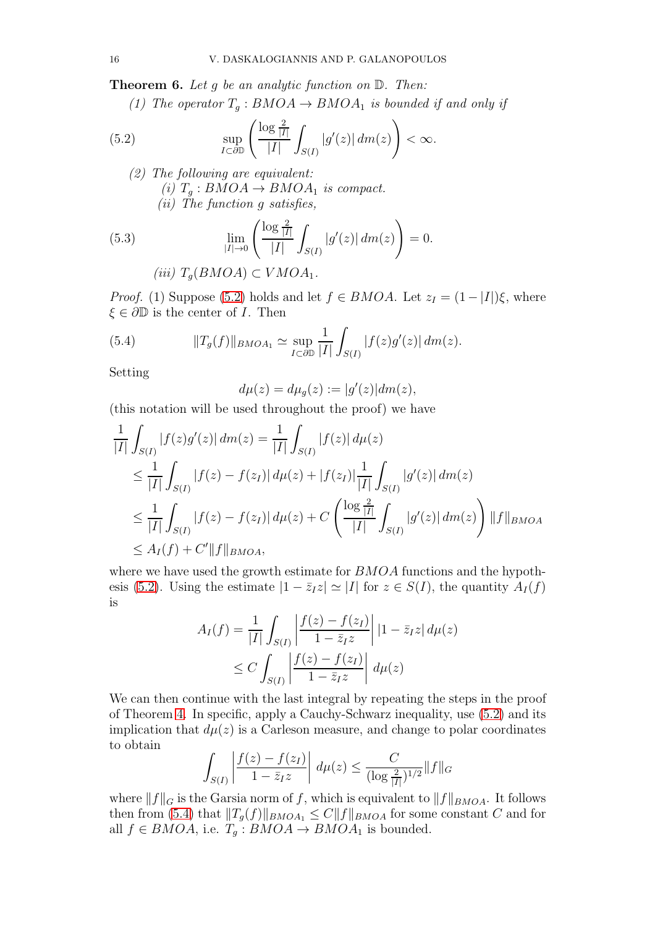**Theorem 6.** Let g be an analytic function on  $D$ . Then:

<span id="page-15-0"></span>(1) The operator  $T_q : BMOA \rightarrow BMOA_1$  is bounded if and only if

(5.2) 
$$
\sup_{I \subset \partial \mathbb{D}} \left( \frac{\log \frac{2}{|I|}}{|I|} \int_{S(I)} |g'(z)| dm(z) \right) < \infty.
$$

<span id="page-15-2"></span>(2) The following are equivalent: (i)  $T_q: BMOA \rightarrow BMOA_1$  is compact. (ii) The function g satisfies,

(5.3) 
$$
\lim_{|I| \to 0} \left( \frac{\log \frac{2}{|I|}}{|I|} \int_{S(I)} |g'(z)| dm(z) \right) = 0.
$$
  
(iii)  $T_g(BMOA) \subset VMOA_1.$ 

*Proof.* (1) Suppose [\(5.2\)](#page-15-0) holds and let  $f \in BMOA$ . Let  $z_I = (1 - |I|)\xi$ , where  $\xi \in \partial \mathbb{D}$  is the center of *I*. Then

(5.4) 
$$
||T_g(f)||_{BMOA_1} \simeq \sup_{I \subset \partial \mathbb{D}} \frac{1}{|I|} \int_{S(I)} |f(z)g'(z)| \, dm(z).
$$

Setting

<span id="page-15-1"></span>
$$
d\mu(z) = d\mu_g(z) := |g'(z)| dm(z),
$$

(this notation will be used throughout the proof) we have

$$
\frac{1}{|I|} \int_{S(I)} |f(z)g'(z)| \, dm(z) = \frac{1}{|I|} \int_{S(I)} |f(z)| \, d\mu(z)
$$
\n
$$
\leq \frac{1}{|I|} \int_{S(I)} |f(z) - f(z_I)| \, d\mu(z) + |f(z_I)| \frac{1}{|I|} \int_{S(I)} |g'(z)| \, dm(z)
$$
\n
$$
\leq \frac{1}{|I|} \int_{S(I)} |f(z) - f(z_I)| \, d\mu(z) + C \left( \frac{\log \frac{2}{|I|}}{|I|} \int_{S(I)} |g'(z)| \, dm(z) \right) ||f||_{BMOA}
$$
\n
$$
\leq A_I(f) + C'||f||_{BMOA},
$$

where we have used the growth estimate for  $BMOA$  functions and the hypoth-esis [\(5.2\)](#page-15-0). Using the estimate  $|1 - \bar{z}_I z| \simeq |I|$  for  $z \in S(I)$ , the quantity  $A_I(f)$ is

$$
A_I(f) = \frac{1}{|I|} \int_{S(I)} \left| \frac{f(z) - f(z_I)}{1 - \overline{z}_I z} \right| |1 - \overline{z}_I z| d\mu(z)
$$
  

$$
\leq C \int_{S(I)} \left| \frac{f(z) - f(z_I)}{1 - \overline{z}_I z} \right| d\mu(z)
$$

We can then continue with the last integral by repeating the steps in the proof of Theorem [4.](#page-10-1) In specific, apply a Cauchy-Schwarz inequality, use [\(5.2\)](#page-15-0) and its implication that  $d\mu(z)$  is a Carleson measure, and change to polar coordinates to obtain

$$
\int_{S(I)} \left| \frac{f(z) - f(z_I)}{1 - \bar{z}_I z} \right| \, d\mu(z) \le \frac{C}{(\log \frac{2}{|I|})^{1/2}} \|f\|_G
$$

where  $||f||_G$  is the Garsia norm of f, which is equivalent to  $||f||_{BMOA}$ . It follows then from [\(5.4\)](#page-15-1) that  $||T_g(f)||_{BMOA_1} \leq C||f||_{BMOA}$  for some constant C and for all  $f \in BMOA$ , i.e.  $T_g : BMOA \rightarrow BMOA_1$  is bounded.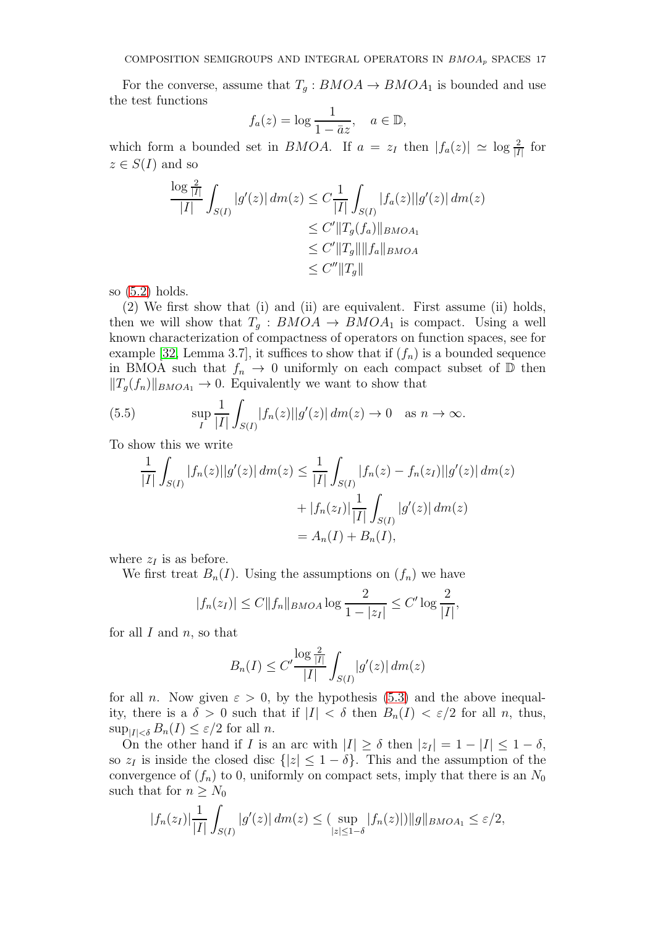For the converse, assume that  $T_g : BMOA \to BMOA_1$  is bounded and use the test functions

$$
f_a(z) = \log \frac{1}{1 - \bar{a}z}, \quad a \in \mathbb{D},
$$

which form a bounded set in *BMOA*. If  $a = z_I$  then  $|f_a(z)| \simeq \log \frac{2}{|I|}$  for  $z \in S(I)$  and so

$$
\frac{\log \frac{2}{|I|}}{|I|} \int_{S(I)} |g'(z)| \, dm(z) \leq C \frac{1}{|I|} \int_{S(I)} |f_a(z)| |g'(z)| \, dm(z)
$$
  
\n
$$
\leq C' \|T_g(f_a)\|_{BMOA_1}
$$
  
\n
$$
\leq C' \|T_g\| \|f_a\|_{BMOA}
$$
  
\n
$$
\leq C'' \|T_g\|
$$

so [\(5.2\)](#page-15-0) holds.

(2) We first show that (i) and (ii) are equivalent. First assume (ii) holds, then we will show that  $T_q : BMOA \rightarrow BMOA_1$  is compact. Using a well known characterization of compactness of operators on function spaces, see for example [\[32,](#page-24-14) Lemma 3.7], it suffices to show that if  $(f_n)$  is a bounded sequence in BMOA such that  $f_n \to 0$  uniformly on each compact subset of  $\mathbb D$  then  $||T_q(f_n)||_{BMOA_1} \to 0$ . Equivalently we want to show that

(5.5) 
$$
\sup_{I} \frac{1}{|I|} \int_{S(I)} |f_n(z)| |g'(z)| dm(z) \to 0 \text{ as } n \to \infty.
$$

To show this we write

<span id="page-16-0"></span>
$$
\frac{1}{|I|} \int_{S(I)} |f_n(z)||g'(z)| \, dm(z) \le \frac{1}{|I|} \int_{S(I)} |f_n(z) - f_n(z_I)||g'(z)| \, dm(z)
$$

$$
+ |f_n(z_I)| \frac{1}{|I|} \int_{S(I)} |g'(z)| \, dm(z)
$$

$$
= A_n(I) + B_n(I),
$$

where  $z_I$  is as before.

We first treat  $B_n(I)$ . Using the assumptions on  $(f_n)$  we have

$$
|f_n(z_I)| \le C ||f_n||_{BMOA} \log \frac{2}{1-|z_I|} \le C' \log \frac{2}{|I|},
$$

for all  $I$  and  $n$ , so that

$$
B_n(I) \le C' \frac{\log \frac{2}{|I|}}{|I|} \int_{S(I)} |g'(z)| \, dm(z)
$$

for all n. Now given  $\varepsilon > 0$ , by the hypothesis [\(5.3\)](#page-15-2) and the above inequality, there is a  $\delta > 0$  such that if  $|I| < \delta$  then  $B_n(I) < \varepsilon/2$  for all n, thus,  $\sup_{|I|<\delta} B_n(I) \leq \varepsilon/2$  for all n.

On the other hand if I is an arc with  $|I| \ge \delta$  then  $|z_I| = 1 - |I| \le 1 - \delta$ , so  $z_I$  is inside the closed disc  $\{|z| \leq 1 - \delta\}$ . This and the assumption of the convergence of  $(f_n)$  to 0, uniformly on compact sets, imply that there is an  $N_0$ such that for  $n \geq N_0$ 

$$
|f_n(z_I)| \frac{1}{|I|} \int_{S(I)} |g'(z)| \, dm(z) \leq \sup_{|z| \leq 1-\delta} |f_n(z)| \, ||g||_{BMOA_1} \leq \varepsilon/2,
$$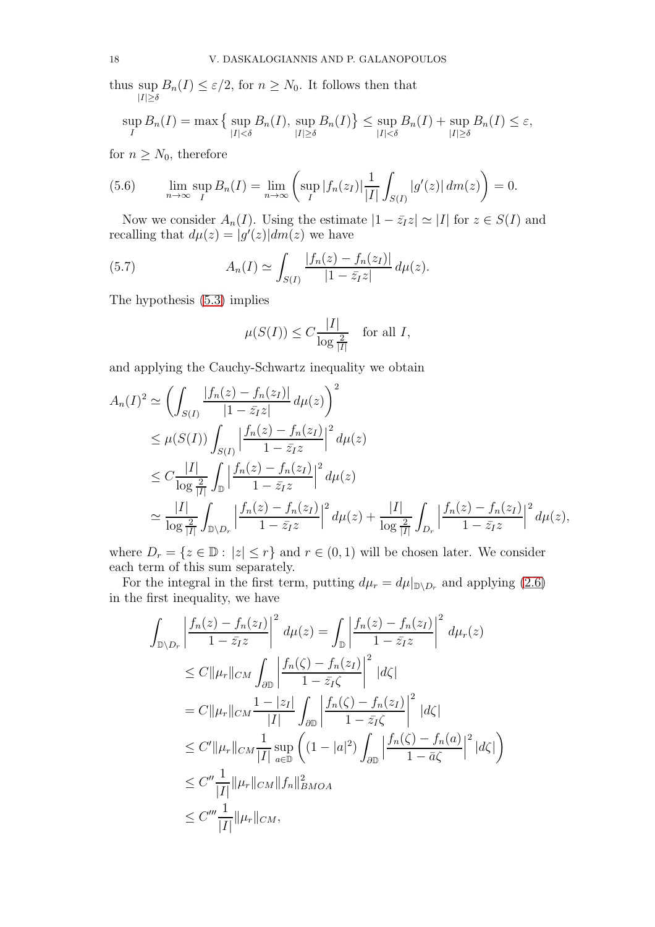thus sup  $B_n(I) \leq \varepsilon/2$ , for  $n \geq N_0$ . It follows then that  $|I|\geq \delta$ 

$$
\sup_{I} B_n(I) = \max\left\{\sup_{|I| < \delta} B_n(I), \sup_{|I| \ge \delta} B_n(I)\right\} \le \sup_{|I| < \delta} B_n(I) + \sup_{|I| \ge \delta} B_n(I) \le \varepsilon,
$$

for  $n \geq N_0$ , therefore

<span id="page-17-0"></span>(5.6) 
$$
\lim_{n \to \infty} \sup_{I} B_n(I) = \lim_{n \to \infty} \left( \sup_{I} |f_n(z_I)| \frac{1}{|I|} \int_{S(I)} |g'(z)| dm(z) \right) = 0.
$$

Now we consider  $A_n(I)$ . Using the estimate  $|1 - \bar{z}_I z| \simeq |I|$  for  $z \in S(I)$  and recalling that  $d\mu(z) = |g'(z)| dm(z)$  we have

(5.7) 
$$
A_n(I) \simeq \int_{S(I)} \frac{|f_n(z) - f_n(z_I)|}{|1 - \bar{z}_I z|} d\mu(z).
$$

The hypothesis [\(5.3\)](#page-15-2) implies

$$
\mu(S(I)) \le C \frac{|I|}{\log \frac{2}{|I|}} \quad \text{for all } I,
$$

and applying the Cauchy-Schwartz inequality we obtain

$$
A_n(I)^2 \simeq \left( \int_{S(I)} \frac{|f_n(z) - f_n(z_I)|}{|1 - \bar{z}_I z|} d\mu(z) \right)^2
$$
  
\n
$$
\leq \mu(S(I)) \int_{S(I)} \left| \frac{f_n(z) - f_n(z_I)}{1 - \bar{z}_I z} \right|^2 d\mu(z)
$$
  
\n
$$
\leq C \frac{|I|}{\log \frac{2}{|I|}} \int_{\mathbb{D}} \left| \frac{f_n(z) - f_n(z_I)}{1 - \bar{z}_I z} \right|^2 d\mu(z)
$$
  
\n
$$
\simeq \frac{|I|}{\log \frac{2}{|I|}} \int_{\mathbb{D} \setminus D_r} \left| \frac{f_n(z) - f_n(z_I)}{1 - \bar{z}_I z} \right|^2 d\mu(z) + \frac{|I|}{\log \frac{2}{|I|}} \int_{D_r} \left| \frac{f_n(z) - f_n(z_I)}{1 - \bar{z}_I z} \right|^2 d\mu(z),
$$

where  $D_r = \{z \in \mathbb{D} : |z| \leq r\}$  and  $r \in (0, 1)$  will be chosen later. We consider each term of this sum separately.

For the integral in the first term, putting  $d\mu_r = d\mu|_{\mathbb{D}\setminus D_r}$  and applying [\(2.6\)](#page-4-0) in the first inequality, we have

$$
\int_{\mathbb{D}\setminus D_r} \left| \frac{f_n(z) - f_n(z_I)}{1 - \bar{z}_I z} \right|^2 d\mu(z) = \int_{\mathbb{D}} \left| \frac{f_n(z) - f_n(z_I)}{1 - \bar{z}_I z} \right|^2 d\mu_r(z)
$$
\n
$$
\leq C \|\mu_r\|_{CM} \int_{\partial \mathbb{D}} \left| \frac{f_n(\zeta) - f_n(z_I)}{1 - \bar{z}_I \zeta} \right|^2 |d\zeta|
$$
\n
$$
= C \|\mu_r\|_{CM} \frac{1 - |z_I|}{|I|} \int_{\partial \mathbb{D}} \left| \frac{f_n(\zeta) - f_n(z_I)}{1 - \bar{z}_I \zeta} \right|^2 |d\zeta|
$$
\n
$$
\leq C' \|\mu_r\|_{CM} \frac{1}{|I|} \sup_{a \in \mathbb{D}} \left( (1 - |a|^2) \int_{\partial \mathbb{D}} \left| \frac{f_n(\zeta) - f_n(a)}{1 - \bar{a}\zeta} \right|^2 |d\zeta| \right)
$$
\n
$$
\leq C'' \frac{1}{|I|} \|\mu_r\|_{CM} \|f_n\|_{BMOA}^2
$$
\n
$$
\leq C''' \frac{1}{|I|} \|\mu_r\|_{CM},
$$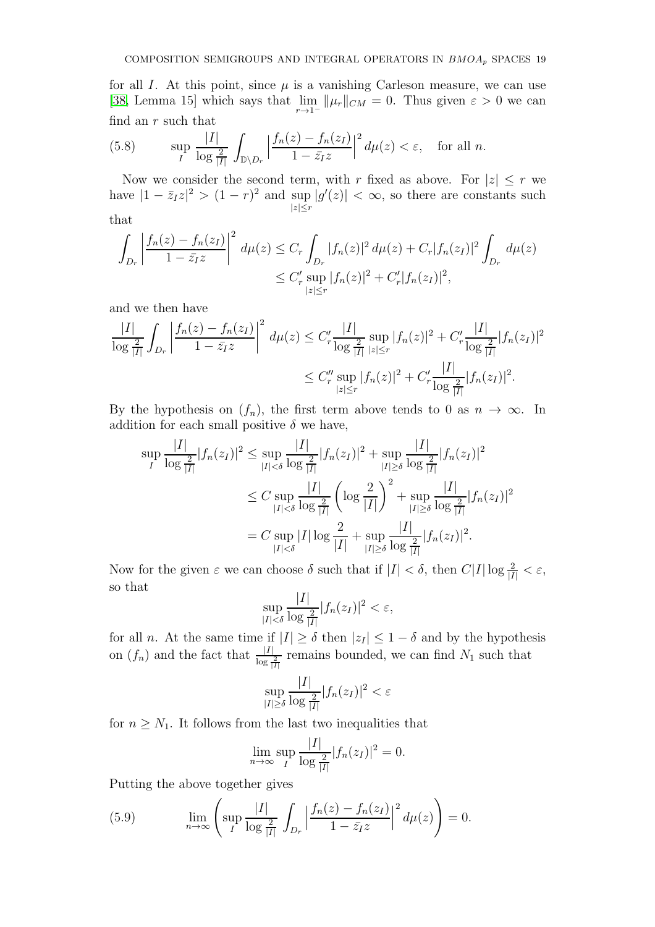for all I. At this point, since  $\mu$  is a vanishing Carleson measure, we can use [\[38,](#page-24-0) Lemma 15] which says that  $\lim_{r \to 1^-} ||\mu_r||_{CM} = 0$ . Thus given  $\varepsilon > 0$  we can find an  $r$  such that

<span id="page-18-0"></span>(5.8) 
$$
\sup_{I} \frac{|I|}{\log \frac{2}{|I|}} \int_{\mathbb{D}\setminus D_r} \left| \frac{f_n(z) - f_n(z_I)}{1 - \bar{z}_I z} \right|^2 d\mu(z) < \varepsilon, \text{ for all } n.
$$

Now we consider the second term, with r fixed as above. For  $|z| \leq r$  we have  $|1 - \bar{z}_I z|^2 > (1 - r)^2$  and sup  $|g'(z)| < \infty$ , so there are constants such  $|z|\leq r$ 

that

$$
\int_{D_r} \left| \frac{f_n(z) - f_n(z_I)}{1 - \bar{z}_I z} \right|^2 d\mu(z) \le C_r \int_{D_r} |f_n(z)|^2 d\mu(z) + C_r |f_n(z_I)|^2 \int_{D_r} d\mu(z)
$$
  

$$
\le C'_r \sup_{|z| \le r} |f_n(z)|^2 + C'_r |f_n(z_I)|^2,
$$

and we then have

$$
\frac{|I|}{\log\frac{2}{|I|}} \int_{D_r} \left| \frac{f_n(z) - f_n(z_I)}{1 - \bar{z}_I z} \right|^2 d\mu(z) \le C'_r \frac{|I|}{\log\frac{2}{|I|}} \sup_{|z| \le r} |f_n(z)|^2 + C'_r \frac{|I|}{\log\frac{2}{|I|}} |f_n(z_I)|^2
$$
  

$$
\le C''_r \sup_{|z| \le r} |f_n(z)|^2 + C'_r \frac{|I|}{\log\frac{2}{|I|}} |f_n(z_I)|^2.
$$

By the hypothesis on  $(f_n)$ , the first term above tends to 0 as  $n \to \infty$ . In addition for each small positive  $\delta$  we have,

$$
\sup_{I} \frac{|I|}{\log \frac{2}{|I|}} |f_n(z_I)|^2 \le \sup_{|I| < \delta} \frac{|I|}{\log \frac{2}{|I|}} |f_n(z_I)|^2 + \sup_{|I| \ge \delta} \frac{|I|}{\log \frac{2}{|I|}} |f_n(z_I)|^2
$$
  

$$
\le C \sup_{|I| < \delta} \frac{|I|}{\log \frac{2}{|I|}} \left( \log \frac{2}{|I|} \right)^2 + \sup_{|I| \ge \delta} \frac{|I|}{\log \frac{2}{|I|}} |f_n(z_I)|^2
$$
  

$$
= C \sup_{|I| < \delta} |I| \log \frac{2}{|I|} + \sup_{|I| \ge \delta} \frac{|I|}{\log \frac{2}{|I|}} |f_n(z_I)|^2.
$$

Now for the given  $\varepsilon$  we can choose  $\delta$  such that if  $|I| < \delta$ , then  $C|I| \log \frac{2}{|I|} < \varepsilon$ , so that

$$
\sup_{|I|<\delta}\frac{|I|}{\log\frac{2}{|I|}}|f_n(z_I)|^2<\varepsilon,
$$

for all *n*. At the same time if  $|I| \ge \delta$  then  $|z_I| \le 1 - \delta$  and by the hypothesis on  $(f_n)$  and the fact that  $\frac{|I|}{\log \frac{2}{|I|}}$  remains bounded, we can find  $N_1$  such that

$$
\sup_{|I|\geq \delta} \frac{|I|}{\log \frac{2}{|I|}} |f_n(z_I)|^2 < \varepsilon
$$

for  $n \geq N_1$ . It follows from the last two inequalities that

$$
\lim_{n \to \infty} \sup_{I} \frac{|I|}{\log \frac{2}{|I|}} |f_n(z_I)|^2 = 0.
$$

Putting the above together gives

(5.9) 
$$
\lim_{n \to \infty} \left( \sup_{I} \frac{|I|}{\log \frac{2}{|I|}} \int_{D_r} \left| \frac{f_n(z) - f_n(z_I)}{1 - \bar{z}_I z} \right|^2 d\mu(z) \right) = 0.
$$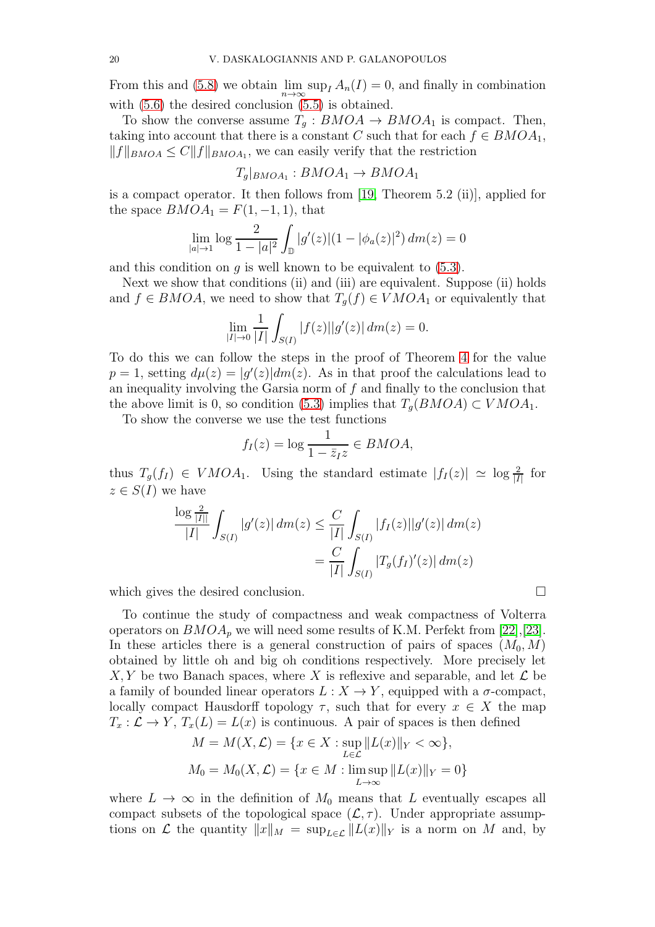From this and [\(5.8\)](#page-18-0) we obtain  $\lim_{n\to\infty} \sup_I A_n(I) = 0$ , and finally in combination with [\(5.6\)](#page-17-0) the desired conclusion [\(5.5\)](#page-16-0) is obtained.

To show the converse assume  $T_g : BMOA \to BMOA_1$  is compact. Then, taking into account that there is a constant C such that for each  $f \in BMOA_1$ ,  $||f||_{BMOA} \leq C||f||_{BMOA_1}$ , we can easily verify that the restriction

$$
T_g|_{BMOA_1}: BMOA_1 \to BMOA_1
$$

is a compact operator. It then follows from [\[19,](#page-23-17) Theorem 5.2 (ii)], applied for the space  $BMOA_1 = F(1, -1, 1)$ , that

$$
\lim_{|a| \to 1} \log \frac{2}{1 - |a|^2} \int_{\mathbb{D}} |g'(z)| (1 - |\phi_a(z)|^2) dm(z) = 0
$$

and this condition on  $q$  is well known to be equivalent to  $(5.3)$ .

Next we show that conditions (ii) and (iii) are equivalent. Suppose (ii) holds and  $f \in BMOA$ , we need to show that  $T_q(f) \in VMOA_1$  or equivalently that

$$
\lim_{|I| \to 0} \frac{1}{|I|} \int_{S(I)} |f(z)| |g'(z)| \, dm(z) = 0.
$$

To do this we can follow the steps in the proof of Theorem [4](#page-10-1) for the value  $p = 1$ , setting  $d\mu(z) = |g'(z)| dm(z)$ . As in that proof the calculations lead to an inequality involving the Garsia norm of  $f$  and finally to the conclusion that the above limit is 0, so condition [\(5.3\)](#page-15-2) implies that  $T_q(BMOA) \subset VMOA_1$ .

To show the converse we use the test functions

$$
f_I(z) = \log \frac{1}{1 - \bar{z}_I z} \in BMOA,
$$

thus  $T_g(f_I) \in VMOA_1$ . Using the standard estimate  $|f_I(z)| \simeq \log \frac{2}{|I|}$  for  $z \in S(I)$  we have

$$
\frac{\log \frac{2}{|I|}}{|I|} \int_{S(I)} |g'(z)| \, dm(z) \le \frac{C}{|I|} \int_{S(I)} |f_I(z)| |g'(z)| \, dm(z)
$$

$$
= \frac{C}{|I|} \int_{S(I)} |T_g(f_I)'(z)| \, dm(z)
$$

which gives the desired conclusion.

To continue the study of compactness and weak compactness of Volterra operators on  $BMOA_p$  we will need some results of K.M. Perfekt from [\[22\]](#page-23-15),[\[23\]](#page-23-18). In these articles there is a general construction of pairs of spaces  $(M_0, M)$ obtained by little oh and big oh conditions respectively. More precisely let  $X, Y$  be two Banach spaces, where X is reflexive and separable, and let  $\mathcal L$  be a family of bounded linear operators  $L : X \to Y$ , equipped with a  $\sigma$ -compact, locally compact Hausdorff topology  $\tau$ , such that for every  $x \in X$  the map  $T_x: \mathcal{L} \to Y$ ,  $T_x(L) = L(x)$  is continuous. A pair of spaces is then defined

$$
M = M(X, \mathcal{L}) = \{x \in X : \sup_{L \in \mathcal{L}} ||L(x)||_Y < \infty\},\newline M_0 = M_0(X, \mathcal{L}) = \{x \in M : \limsup_{L \to \infty} ||L(x)||_Y = 0\}
$$

where  $L \to \infty$  in the definition of  $M_0$  means that L eventually escapes all compact subsets of the topological space  $(\mathcal{L}, \tau)$ . Under appropriate assumptions on  $\mathcal L$  the quantity  $||x||_M = \sup_{L \in \mathcal L} ||L(x)||_Y$  is a norm on M and, by

$$
\overline{\phantom{0}}
$$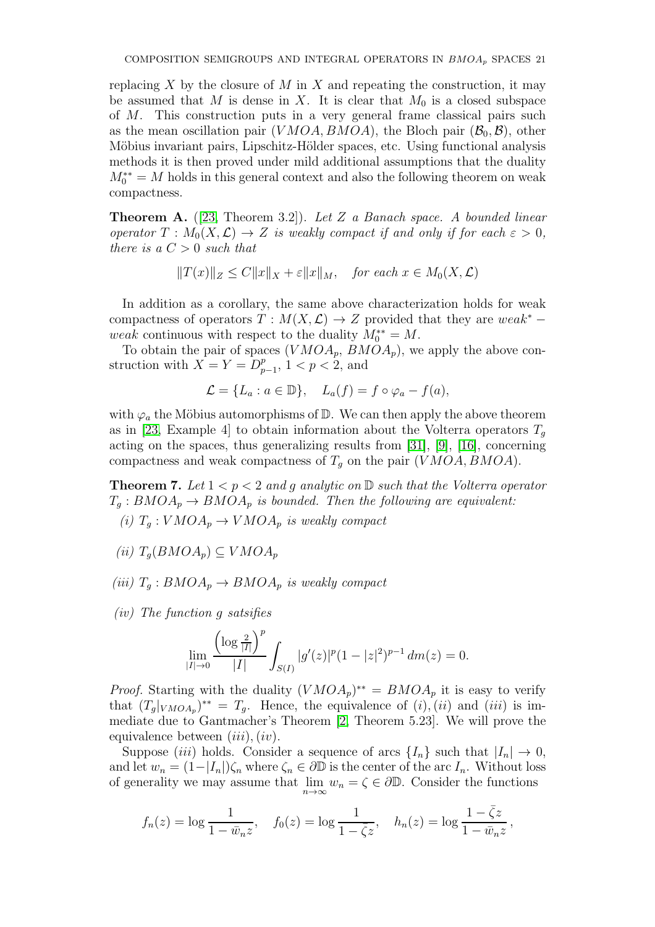replacing X by the closure of M in X and repeating the construction, it may be assumed that M is dense in X. It is clear that  $M_0$  is a closed subspace of M. This construction puts in a very general frame classical pairs such as the mean oscillation pair (VMOA, BMOA), the Bloch pair  $(\mathcal{B}_0, \mathcal{B})$ , other Möbius invariant pairs, Lipschitz-Hölder spaces, etc. Using functional analysis methods it is then proved under mild additional assumptions that the duality  $M_0^{**} = M$  holds in this general context and also the following theorem on weak compactness.

**Theorem A.**  $([23, Theorem 3.2])$  $([23, Theorem 3.2])$  $([23, Theorem 3.2])$ . Let Z a Banach space. A bounded linear operator  $T : M_0(X, \mathcal{L}) \to Z$  is weakly compact if and only if for each  $\varepsilon > 0$ , there is a  $C > 0$  such that

$$
||T(x)||_Z \le C||x||_X + \varepsilon ||x||_M, \quad \text{for each } x \in M_0(X, \mathcal{L})
$$

In addition as a corollary, the same above characterization holds for weak compactness of operators  $T : M(X, \mathcal{L}) \to Z$  provided that they are weak<sup>\*</sup> − weak continuous with respect to the duality  $M_0^{**} = M$ .

To obtain the pair of spaces  $(VMOA_p, BMOA_p)$ , we apply the above construction with  $X = Y = D_p^p$  $_{p-1}^{p}$ , 1 < p < 2, and

$$
\mathcal{L} = \{L_a : a \in \mathbb{D}\}, \quad L_a(f) = f \circ \varphi_a - f(a),
$$

with  $\varphi_a$  the Möbius automorphisms of  $\mathbb D$ . We can then apply the above theorem as in [\[23,](#page-23-18) Example 4] to obtain information about the Volterra operators  $T<sub>g</sub>$ acting on the spaces, thus generalizing results from [\[31\]](#page-24-15), [\[9\]](#page-23-8), [\[16\]](#page-23-19), concerning compactness and weak compactness of  $T<sub>q</sub>$  on the pair (VMOA, BMOA).

**Theorem 7.** Let  $1 < p < 2$  and g analytic on  $D$  such that the Volterra operator  $T_q : BMOA_p \to BMOA_p$  is bounded. Then the following are equivalent:

- (i)  $T_q: VMOA_p \to VMOA_p$  is weakly compact
- (ii)  $T_q(BMOA_p) \subseteq VMOA_p$
- (iii)  $T_q : BMOA_p \rightarrow BMOA_p$  is weakly compact
- (iv) The function g satsifies

$$
\lim_{|I|\to 0}\frac{\left(\log\frac{2}{|I|}\right)^p}{|I|}\int_{S(I)}|g'(z)|^p(1-|z|^2)^{p-1}\,dm(z)=0.
$$

*Proof.* Starting with the duality  $(VMOA_p)^{**} = BMOA_p$  it is easy to verify that  $(T_g|_{VMOA_p})^{**} = T_g$ . Hence, the equivalence of  $(i)$ ,  $(ii)$  and  $(iii)$  is immediate due to Gantmacher's Theorem [\[2,](#page-23-20) Theorem 5.23]. We will prove the equivalence between  $(iii)$ ,  $(iv)$ .

Suppose (iii) holds. Consider a sequence of arcs  $\{I_n\}$  such that  $|I_n| \to 0$ , and let  $w_n = (1-|I_n|)\zeta_n$  where  $\zeta_n \in \partial \mathbb{D}$  is the center of the arc  $I_n$ . Without loss of generality we may assume that  $\lim_{n\to\infty} w_n = \zeta \in \partial \mathbb{D}$ . Consider the functions

$$
f_n(z) = \log \frac{1}{1 - \bar{w}_n z}
$$
,  $f_0(z) = \log \frac{1}{1 - \bar{\zeta} z}$ ,  $h_n(z) = \log \frac{1 - \bar{\zeta} z}{1 - \bar{w}_n z}$ ,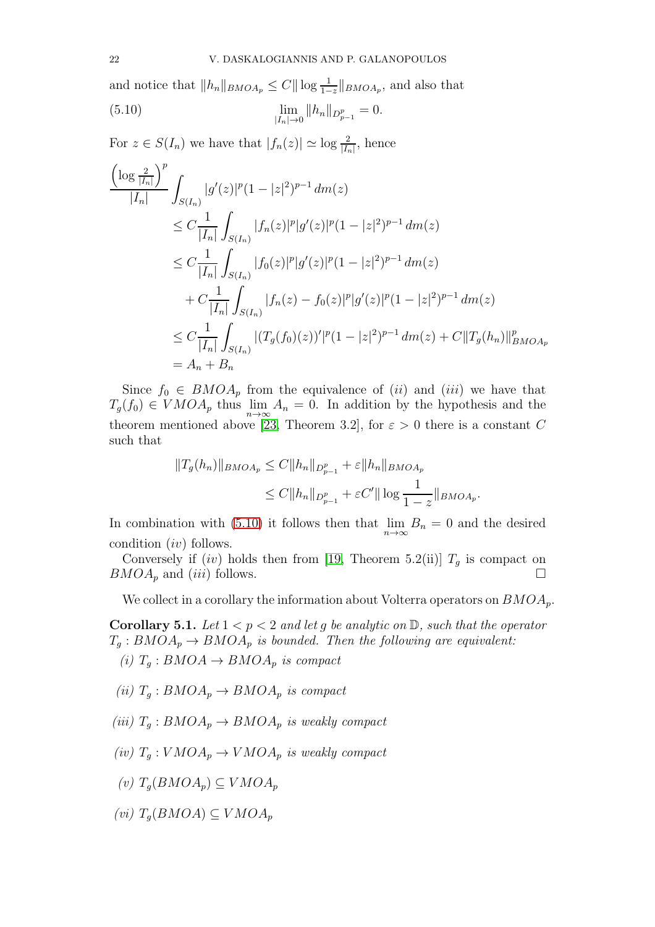and notice that  $||h_n||_{BMOA_p} \leq C||\log \frac{1}{1-z}||_{BMOA_p}$ , and also that

<span id="page-21-0"></span>(5.10) 
$$
\lim_{|I_n| \to 0} ||h_n||_{D_{p-1}^p} = 0.
$$

For  $z \in S(I_n)$  we have that  $|f_n(z)| \simeq \log \frac{2}{|I_n|}$ , hence

$$
\frac{\left(\log \frac{2}{|I_n|}\right)^p}{|I_n|} \int_{S(I_n)} |g'(z)|^p (1-|z|^2)^{p-1} dm(z)
$$
\n
$$
\leq C \frac{1}{|I_n|} \int_{S(I_n)} |f_n(z)|^p |g'(z)|^p (1-|z|^2)^{p-1} dm(z)
$$
\n
$$
\leq C \frac{1}{|I_n|} \int_{S(I_n)} |f_0(z)|^p |g'(z)|^p (1-|z|^2)^{p-1} dm(z)
$$
\n
$$
+ C \frac{1}{|I_n|} \int_{S(I_n)} |f_n(z) - f_0(z)|^p |g'(z)|^p (1-|z|^2)^{p-1} dm(z)
$$
\n
$$
\leq C \frac{1}{|I_n|} \int_{S(I_n)} |(T_g(f_0)(z))'|^p (1-|z|^2)^{p-1} dm(z) + C \|T_g(h_n)\|_{BMOA_p}^p
$$
\n
$$
= A_n + B_n
$$

Since  $f_0 \in BMOA_p$  from the equivalence of (*ii*) and (*iii*) we have that  $T_g(f_0) \in VMOA_p$  thus  $\lim_{n \to \infty} A_n = 0$ . In addition by the hypothesis and the theorem mentioned above [\[23,](#page-23-18) Theorem 3.2], for  $\varepsilon > 0$  there is a constant C such that

$$
||T_g(h_n)||_{BMOA_p} \le C||h_n||_{D_{p-1}^p} + \varepsilon||h_n||_{BMOA_p}
$$
  
\n
$$
\le C||h_n||_{D_{p-1}^p} + \varepsilon C'||\log \frac{1}{1-z}||_{BMOA_p}.
$$

In combination with [\(5.10\)](#page-21-0) it follows then that  $\lim_{n\to\infty} B_n = 0$  and the desired condition (iv) follows.

Conversely if  $(iv)$  holds then from [\[19,](#page-23-17) Theorem 5.2(ii)]  $T<sub>q</sub>$  is compact on  $BMOA_p$  and (iii) follows.

We collect in a corollary the information about Volterra operators on  $BMOA_p$ .

<span id="page-21-1"></span>**Corollary 5.1.** Let  $1 < p < 2$  and let g be analytic on  $D$ , such that the operator  $T_g : BMOA_p \to BMOA_p$  is bounded. Then the following are equivalent:

(i)  $T_q : BMOA \rightarrow BMOA_p$  is compact

- (ii)  $T_q : BMOA_p \rightarrow BMOA_p$  is compact
- (iii)  $T_q : BMOA_p \rightarrow BMOA_p$  is weakly compact
- (iv)  $T_a: VMOA_p \to VMOA_p$  is weakly compact
- (v)  $T_q(BMOA_p) \subseteq VMOA_p$
- (vi)  $T_a(BMOA) \subset VMOA_n$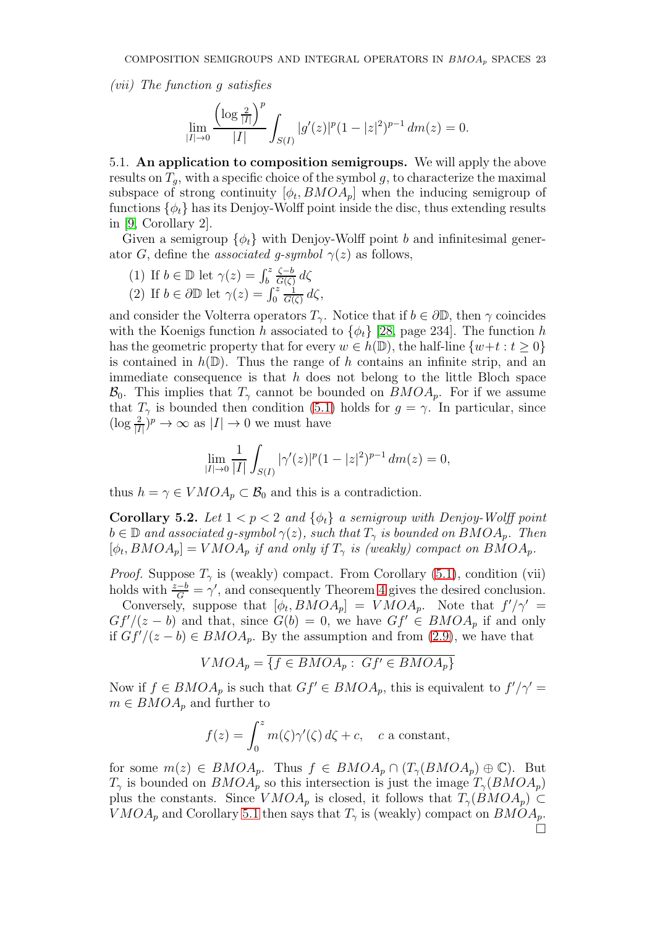(vii) The function g satisfies

$$
\lim_{|I| \to 0} \frac{\left(\log \frac{2}{|I|}\right)^p}{|I|} \int_{S(I)} |g'(z)|^p (1-|z|^2)^{p-1} dm(z) = 0.
$$

5.1. An application to composition semigroups. We will apply the above results on  $T_q$ , with a specific choice of the symbol g, to characterize the maximal subspace of strong continuity  $[\phi_t, BMOA_p]$  when the inducing semigroup of functions  $\{\phi_t\}$  has its Denjoy-Wolff point inside the disc, thus extending results in [\[9,](#page-23-8) Corollary 2].

Given a semigroup  $\{\phi_t\}$  with Denjoy-Wolff point b and infinitesimal generator G, define the *associated q-symbol*  $\gamma(z)$  as follows,

- (1) If  $b \in \mathbb{D}$  let  $\gamma(z) = \int_b^z$  $\zeta-b$  $\frac{\zeta-b}{G(\zeta)}d\zeta$
- (2) If  $b \in \partial \mathbb{D}$  let  $\gamma(z) = \int_0^z$ 1  $\frac{1}{G(\zeta)} d\zeta,$

and consider the Volterra operators  $T_{\gamma}$ . Notice that if  $b \in \partial \mathbb{D}$ , then  $\gamma$  coincides with the Koenigs function h associated to  $\{\phi_t\}$  [\[28,](#page-24-10) page 234]. The function h has the geometric property that for every  $w \in h(\mathbb{D})$ , the half-line  $\{w+t : t \geq 0\}$ is contained in  $h(\mathbb{D})$ . Thus the range of h contains an infinite strip, and an immediate consequence is that  $h$  does not belong to the little Bloch space  $\mathcal{B}_0$ . This implies that  $T_\gamma$  cannot be bounded on  $BMOA_p$ . For if we assume that  $T_{\gamma}$  is bounded then condition [\(5.1\)](#page-14-0) holds for  $g = \gamma$ . In particular, since  $(\log \frac{2}{|I|})^p \to \infty$  as  $|I| \to 0$  we must have

$$
\lim_{|I| \to 0} \frac{1}{|I|} \int_{S(I)} |\gamma'(z)|^p (1 - |z|^2)^{p-1} dm(z) = 0,
$$

thus  $h = \gamma \in VMOA_p \subset \mathcal{B}_0$  and this is a contradiction.

Corollary 5.2. Let  $1 < p < 2$  and  $\{\phi_t\}$  a semigroup with Denjoy-Wolff point  $b \in \mathbb{D}$  and associated g-symbol  $\gamma(z)$ , such that  $T_{\gamma}$  is bounded on  $BMOA_p$ . Then  $[\phi_t, BMOA_p] = VMOA_p$  if and only if  $T_\gamma$  is (weakly) compact on  $BMOA_p$ .

*Proof.* Suppose  $T_\gamma$  is (weakly) compact. From Corollary [\(5.1\)](#page-21-1), condition (vii) holds with  $\frac{z-b}{G} = \gamma'$ , and consequently Theorem [4](#page-10-1) gives the desired conclusion.

Conversely, suppose that  $[\phi_t, BMOA_p] = VMOA_p$ . Note that  $f'/\gamma' =$  $Gf'/(z - b)$  and that, since  $G(b) = 0$ , we have  $Gf' \in BMOA_p$  if and only if  $Gf'/(z - b) \in BMOA_p$ . By the assumption and from [\(2.9\)](#page-5-0), we have that

$$
VMOA_p = \overline{\{f \in BMOA_p : Gf' \in BMOA_p\}}
$$

Now if  $f \in BMOA_p$  is such that  $Gf' \in BMOA_p$ , this is equivalent to  $f'/\gamma' =$  $m \in BMOA_p$  and further to

$$
f(z) = \int_0^z m(\zeta)\gamma'(\zeta) d\zeta + c, \quad c \text{ a constant},
$$

for some  $m(z) \in BMOA_p$ . Thus  $f \in BMOA_p \cap (T_{\gamma}(BMOA_p) \oplus \mathbb{C})$ . But  $T_{\gamma}$  is bounded on  $BMOA_p$  so this intersection is just the image  $T_{\gamma}(BMOA_p)$ plus the constants. Since  $VMOA_p$  is closed, it follows that  $T_{\gamma}(BMOA_p) \subset$  $VMOA_p$  and Corollary [5.1](#page-21-1) then says that  $T_\gamma$  is (weakly) compact on  $BMOA_p$ .  $\Box$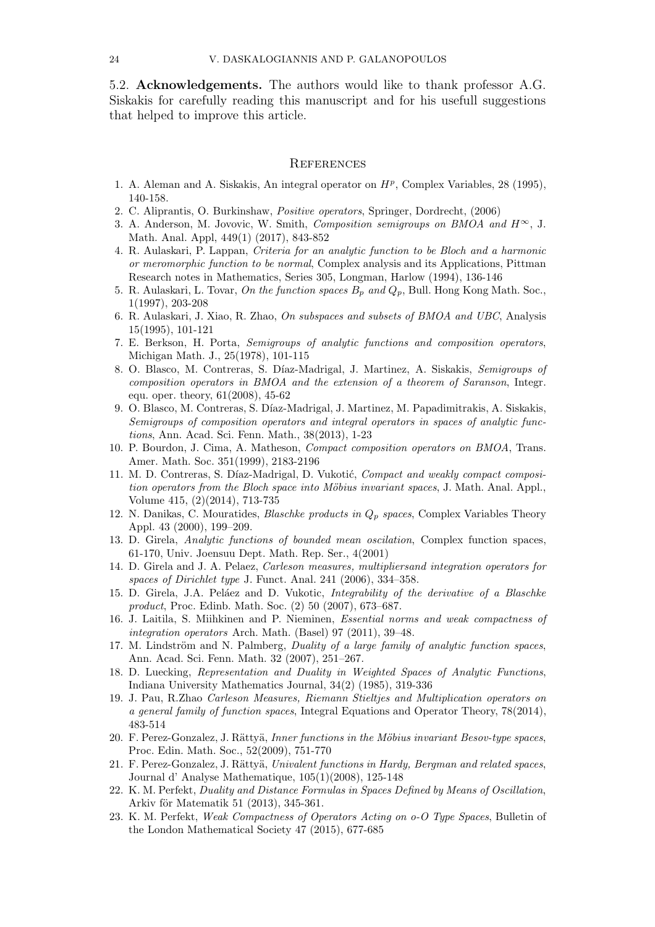5.2. Acknowledgements. The authors would like to thank professor A.G. Siskakis for carefully reading this manuscript and for his usefull suggestions that helped to improve this article.

### **REFERENCES**

- <span id="page-23-20"></span>1. A. Aleman and A. Siskakis, An integral operator on  $H<sup>p</sup>$ , Complex Variables, 28 (1995), 140-158.
- <span id="page-23-9"></span>2. C. Aliprantis, O. Burkinshaw, Positive operators, Springer, Dordrecht, (2006)
- 3. A. Anderson, M. Jovovic, W. Smith, Composition semigroups on BMOA and  $H^{\infty}$ , J. Math. Anal. Appl, 449(1) (2017), 843-852
- <span id="page-23-5"></span>4. R. Aulaskari, P. Lappan, Criteria for an analytic function to be Bloch and a harmonic or meromorphic function to be normal, Complex analysis and its Applications, Pittman Research notes in Mathematics, Series 305, Longman, Harlow (1994), 136-146
- <span id="page-23-6"></span>5. R. Aulaskari, L. Tovar, On the function spaces  $B_p$  and  $Q_p$ , Bull. Hong Kong Math. Soc., 1(1997), 203-208
- <span id="page-23-4"></span>6. R. Aulaskari, J. Xiao, R. Zhao, On subspaces and subsets of BMOA and UBC, Analysis 15(1995), 101-121
- <span id="page-23-0"></span>7. E. Berkson, H. Porta, Semigroups of analytic functions and composition operators, Michigan Math. J., 25(1978), 101-115
- 8. O. Blasco, M. Contreras, S. Díaz-Madrigal, J. Martinez, A. Siskakis, Semigroups of composition operators in BMOA and the extension of a theorem of Saranson, Integr. equ. oper. theory, 61(2008), 45-62
- <span id="page-23-8"></span>9. O. Blasco, M. Contreras, S. D´ıaz-Madrigal, J. Martinez, M. Papadimitrakis, A. Siskakis, Semigroups of composition operators and integral operators in spaces of analytic functions, Ann. Acad. Sci. Fenn. Math., 38(2013), 1-23
- <span id="page-23-10"></span>10. P. Bourdon, J. Cima, A. Matheson, Compact composition operators on BMOA, Trans. Amer. Math. Soc. 351(1999), 2183-2196
- <span id="page-23-2"></span>11. M. D. Contreras, S. Díaz-Madrigal, D. Vukotić, Compact and weakly compact composition operators from the Bloch space into Möbius invariant spaces, J. Math. Anal. Appl., Volume 415, (2)(2014), 713-735
- <span id="page-23-14"></span>12. N. Danikas, C. Mouratides, *Blaschke products in*  $Q_p$  *spaces*, Complex Variables Theory Appl. 43 (2000), 199–209.
- <span id="page-23-11"></span>13. D. Girela, Analytic functions of bounded mean oscilation, Complex function spaces, 61-170, Univ. Joensuu Dept. Math. Rep. Ser., 4(2001)
- <span id="page-23-1"></span>14. D. Girela and J. A. Pelaez, Carleson measures, multipliersand integration operators for spaces of Dirichlet type J. Funct. Anal. 241 (2006), 334–358.
- <span id="page-23-13"></span>15. D. Girela, J.A. Peláez and D. Vukotic, *Integrability of the derivative of a Blaschke* product, Proc. Edinb. Math. Soc. (2) 50 (2007), 673–687.
- <span id="page-23-19"></span>16. J. Laitila, S. Miihkinen and P. Nieminen, Essential norms and weak compactness of integration operators Arch. Math. (Basel) 97 (2011), 39–48.
- <span id="page-23-12"></span>17. M. Lindström and N. Palmberg, *Duality of a large family of analytic function spaces*, Ann. Acad. Sci. Fenn. Math. 32 (2007), 251–267.
- <span id="page-23-16"></span>18. D. Luecking, Representation and Duality in Weighted Spaces of Analytic Functions, Indiana University Mathematics Journal, 34(2) (1985), 319-336
- <span id="page-23-17"></span>19. J. Pau, R.Zhao Carleson Measures, Riemann Stieltjes and Multiplication operators on a general family of function spaces, Integral Equations and Operator Theory, 78(2014), 483-514
- <span id="page-23-3"></span>20. F. Perez-Gonzalez, J. Rättyä, Inner functions in the Möbius invariant Besov-type spaces, Proc. Edin. Math. Soc., 52(2009), 751-770
- <span id="page-23-7"></span>21. F. Perez-Gonzalez, J. Rättyä, Univalent functions in Hardy, Bergman and related spaces, Journal d' Analyse Mathematique, 105(1)(2008), 125-148
- <span id="page-23-15"></span>22. K. M. Perfekt, Duality and Distance Formulas in Spaces Defined by Means of Oscillation, Arkiv för Matematik 51 (2013), 345-361.
- <span id="page-23-18"></span>23. K. M. Perfekt, Weak Compactness of Operators Acting on o-O Type Spaces, Bulletin of the London Mathematical Society 47 (2015), 677-685